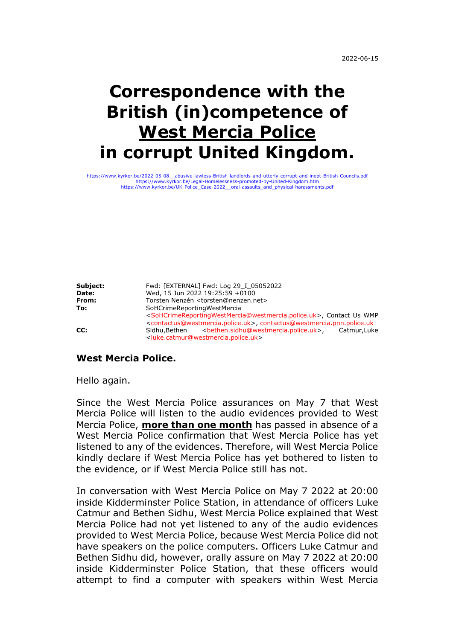# **Correspondence with the British (in)competence of West Mercia Police in corrupt United Kingdom.**

[https://www.kyrkor.be/2022-05-08\\_\\_abusive-lawless-British-landlords-and-utterly-corrupt-and-inept-British-Councils.pdf](https://www.kyrkor.be/2022-05-08__abusive-lawless-British-landlords-and-utterly-corrupt-and-inept-British-Councils.pdf) <https://www.kyrkor.be/Legal-Homelessness-promoted-by-United-Kingdom.htm> [https://www.kyrkor.be/UK-Police\\_Case-2022\\_\\_oral-assaults\\_and\\_physical-harassments.pdf](https://www.kyrkor.be/UK-Police_Case-2022__oral-assaults_and_physical-harassments.pdf)

**Subject:** Fwd: [EXTERNAL] Fwd: Log 29 I 05052022 **Date:** Wed, 15 Jun 2022 19:25:59 +0100 From: Torsten Nenzén <torsten@nenzen.net> **To:** SoHCrimeReportingWestMercia <SoHCrimeReportingWestMercia@westmercia.police.uk>, Contact Us WMP <contactus@westmercia.police.uk>, contactus@westmercia.pnn.police.uk **CC:** Sidhu,Bethen <br />
sidhu,Bethen <br />
sidhu@westmercia.police.uk>, Catmur,Luke <luke.catmur@westmercia.police.uk>

**West Mercia Police.**

Hello again.

Since the West Mercia Police assurances on May 7 that West Mercia Police will listen to the audio evidences provided to West Mercia Police, **more than one month** has passed in absence of a West Mercia Police confirmation that West Mercia Police has yet listened to any of the evidences. Therefore, will West Mercia Police kindly declare if West Mercia Police has yet bothered to listen to the evidence, or if West Mercia Police still has not.

In conversation with West Mercia Police on May 7 2022 at 20:00 inside Kidderminster Police Station, in attendance of officers Luke Catmur and Bethen Sidhu, West Mercia Police explained that West Mercia Police had not yet listened to any of the audio evidences provided to West Mercia Police, because West Mercia Police did not have speakers on the police computers. Officers Luke Catmur and Bethen Sidhu did, however, orally assure on May 7 2022 at 20:00 inside Kidderminster Police Station, that these officers would attempt to find a computer with speakers within West Mercia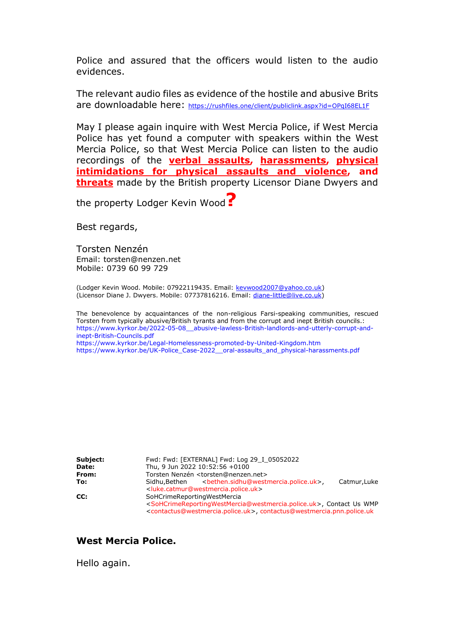Police and assured that the officers would listen to the audio evidences.

The relevant audio files as evidence of the hostile and abusive Brits are downloadable here: <https://rushfiles.one/client/publiclink.aspx?id=OPqI68EL1F>

May I please again inquire with West Mercia Police, if West Mercia Police has yet found a computer with speakers within the West Mercia Police, so that West Mercia Police can listen to the audio recordings of the **verbal assaults, harassments, physical intimidations for physical assaults and violence, and threats** made by the British property Licensor Diane Dwyers and

the property Lodger Kevin Wood**?**

Best regards,

Torsten Nenzén Email: torsten@nenzen.net Mobile: 0739 60 99 729

(Lodger Kevin Wood. Mobile: 07922119435. Email: [kevwood2007@yahoo.co.uk\)](mailto:kevwood2007@yahoo.co.uk) (Licensor Diane J. Dwyers. Mobile: 07737816216. Email: [diane-little@live.co.uk\)](mailto:diane-little@live.co.uk)

The benevolence by acquaintances of the non-religious Farsi-speaking communities, rescued Torsten from typically abusive/British tyrants and from the corrupt and inept British councils.: [https://www.kyrkor.be/2022-05-08\\_\\_abusive-lawless-British-landlords-and-utterly-corrupt-and](https://www.kyrkor.be/2022-05-08__abusive-lawless-British-landlords-and-utterly-corrupt-and-inept-British-Councils.pdf)[inept-British-Councils.pdf](https://www.kyrkor.be/2022-05-08__abusive-lawless-British-landlords-and-utterly-corrupt-and-inept-British-Councils.pdf) <https://www.kyrkor.be/Legal-Homelessness-promoted-by-United-Kingdom.htm> [https://www.kyrkor.be/UK-Police\\_Case-2022\\_\\_oral-assaults\\_and\\_physical-harassments.pdf](https://www.kyrkor.be/UK-Police_Case-2022__oral-assaults_and_physical-harassments.pdf)

**Subject:** Fwd: Fwd: [EXTERNAL] Fwd: Log 29 I 05052022 **Date:** Thu, 9 Jun 2022 10:52:56 +0100 **From:** Torsten Nenzén <torsten@nenzen.net> To: **Sidhu,Bethen <br />
Sidhu,Bethen <br />
Sidhu,Bethen.sidhu@westmercia.police.uk>, Catmur,Luke** <luke.catmur@westmercia.police.uk> **CC:** SoHCrimeReportingWestMercia <SoHCrimeReportingWestMercia@westmercia.police.uk>, Contact Us WMP <contactus@westmercia.police.uk>, contactus@westmercia.pnn.police.uk

#### **West Mercia Police.**

Hello again.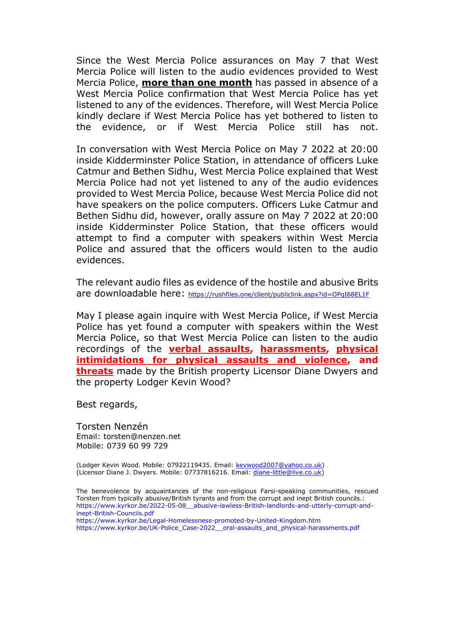Since the West Mercia Police assurances on May 7 that West Mercia Police will listen to the audio evidences provided to West Mercia Police, **more than one month** has passed in absence of a West Mercia Police confirmation that West Mercia Police has yet listened to any of the evidences. Therefore, will West Mercia Police kindly declare if West Mercia Police has yet bothered to listen to the evidence, or if West Mercia Police still has not.

In conversation with West Mercia Police on May 7 2022 at 20:00 inside Kidderminster Police Station, in attendance of officers Luke Catmur and Bethen Sidhu, West Mercia Police explained that West Mercia Police had not yet listened to any of the audio evidences provided to West Mercia Police, because West Mercia Police did not have speakers on the police computers. Officers Luke Catmur and Bethen Sidhu did, however, orally assure on May 7 2022 at 20:00 inside Kidderminster Police Station, that these officers would attempt to find a computer with speakers within West Mercia Police and assured that the officers would listen to the audio evidences.

The relevant audio files as evidence of the hostile and abusive Brits are downloadable here: <https://rushfiles.one/client/publiclink.aspx?id=OPqI68EL1F>

May I please again inquire with West Mercia Police, if West Mercia Police has yet found a computer with speakers within the West Mercia Police, so that West Mercia Police can listen to the audio recordings of the **verbal assaults, harassments, physical intimidations for physical assaults and violence, and threats** made by the British property Licensor Diane Dwyers and the property Lodger Kevin Wood?

Best regards,

Torsten Nenzén Email: torsten@nenzen.net Mobile: 0739 60 99 729

(Lodger Kevin Wood. Mobile: 07922119435. Email: [kevwood2007@yahoo.co.uk\)](mailto:kevwood2007@yahoo.co.uk) (Licensor Diane J. Dwyers. Mobile: 07737816216. Email: [diane-little@live.co.uk\)](mailto:diane-little@live.co.uk)

The benevolence by acquaintances of the non-religious Farsi-speaking communities, rescued Torsten from typically abusive/British tyrants and from the corrupt and inept British councils.: [https://www.kyrkor.be/2022-05-08\\_\\_abusive-lawless-British-landlords-and-utterly-corrupt-and](https://www.kyrkor.be/2022-05-08__abusive-lawless-British-landlords-and-utterly-corrupt-and-inept-British-Councils.pdf)[inept-British-Councils.pdf](https://www.kyrkor.be/2022-05-08__abusive-lawless-British-landlords-and-utterly-corrupt-and-inept-British-Councils.pdf) <https://www.kyrkor.be/Legal-Homelessness-promoted-by-United-Kingdom.htm>

[https://www.kyrkor.be/UK-Police\\_Case-2022\\_\\_oral-assaults\\_and\\_physical-harassments.pdf](https://www.kyrkor.be/UK-Police_Case-2022__oral-assaults_and_physical-harassments.pdf)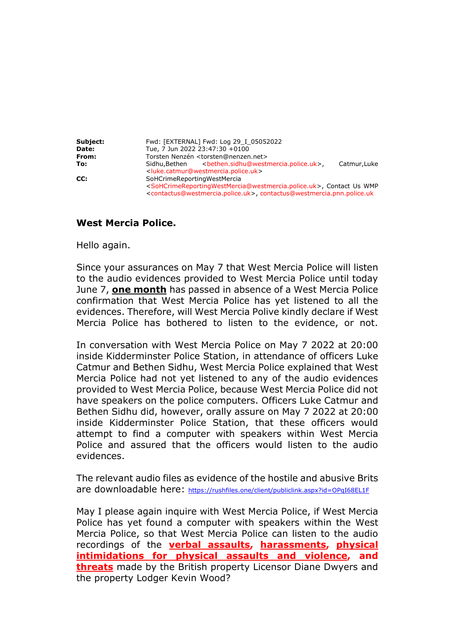**Subject:** Fwd: [EXTERNAL] Fwd: Log 29\_I\_05052022 **Date:** Tue, 7 Jun 2022 23:47:30 +0100<br>**From:** Torsten Nenzén <torsten@nenzer **From:** Torsten Nenzén <torsten@nenzen.net> **To: Sidhu,Bethen** <bethen.sidhu@westmercia.police.uk>, Catmur,Luke <luke.catmur@westmercia.police.uk> **CC:** SoHCrimeReportingWestMercia <SoHCrimeReportingWestMercia@westmercia.police.uk>, Contact Us WMP <contactus@westmercia.police.uk>, contactus@westmercia.pnn.police.uk

### **West Mercia Police.**

Hello again.

Since your assurances on May 7 that West Mercia Police will listen to the audio evidences provided to West Mercia Police until today June 7, **one month** has passed in absence of a West Mercia Police confirmation that West Mercia Police has yet listened to all the evidences. Therefore, will West Mercia Polive kindly declare if West Mercia Police has bothered to listen to the evidence, or not.

In conversation with West Mercia Police on May 7 2022 at 20:00 inside Kidderminster Police Station, in attendance of officers Luke Catmur and Bethen Sidhu, West Mercia Police explained that West Mercia Police had not yet listened to any of the audio evidences provided to West Mercia Police, because West Mercia Police did not have speakers on the police computers. Officers Luke Catmur and Bethen Sidhu did, however, orally assure on May 7 2022 at 20:00 inside Kidderminster Police Station, that these officers would attempt to find a computer with speakers within West Mercia Police and assured that the officers would listen to the audio evidences.

The relevant audio files as evidence of the hostile and abusive Brits are downloadable here: <https://rushfiles.one/client/publiclink.aspx?id=OPqI68EL1F>

May I please again inquire with West Mercia Police, if West Mercia Police has yet found a computer with speakers within the West Mercia Police, so that West Mercia Police can listen to the audio recordings of the **verbal assaults, harassments, physical intimidations for physical assaults and violence, and threats** made by the British property Licensor Diane Dwyers and the property Lodger Kevin Wood?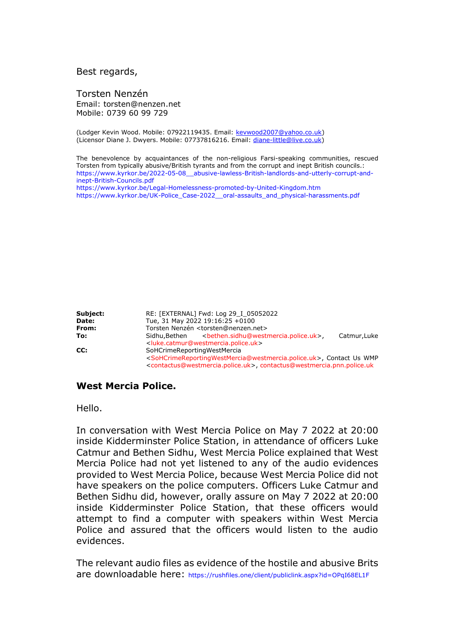#### Best regards,

Torsten Nenzén Email: torsten@nenzen.net Mobile: 0739 60 99 729

(Lodger Kevin Wood. Mobile: 07922119435. Email: [kevwood2007@yahoo.co.uk\)](mailto:kevwood2007@yahoo.co.uk) (Licensor Diane J. Dwyers. Mobile: 07737816216. Email: [diane-little@live.co.uk\)](mailto:diane-little@live.co.uk)

The benevolence by acquaintances of the non-religious Farsi-speaking communities, rescued Torsten from typically abusive/British tyrants and from the corrupt and inept British councils.: [https://www.kyrkor.be/2022-05-08\\_\\_abusive-lawless-British-landlords-and-utterly-corrupt-and](https://www.kyrkor.be/2022-05-08__abusive-lawless-British-landlords-and-utterly-corrupt-and-inept-British-Councils.pdf)[inept-British-Councils.pdf](https://www.kyrkor.be/2022-05-08__abusive-lawless-British-landlords-and-utterly-corrupt-and-inept-British-Councils.pdf) <https://www.kyrkor.be/Legal-Homelessness-promoted-by-United-Kingdom.htm> [https://www.kyrkor.be/UK-Police\\_Case-2022\\_\\_oral-assaults\\_and\\_physical-harassments.pdf](https://www.kyrkor.be/UK-Police_Case-2022__oral-assaults_and_physical-harassments.pdf)

| Subject: | RE: [EXTERNAL] Fwd: Log 29 I 05052022                                                                                                                                                                                                                          |
|----------|----------------------------------------------------------------------------------------------------------------------------------------------------------------------------------------------------------------------------------------------------------------|
| Date:    | Tue, 31 May 2022 19:16:25 +0100                                                                                                                                                                                                                                |
| From:    | Torsten Nenzén <torsten@nenzen.net></torsten@nenzen.net>                                                                                                                                                                                                       |
| To:      | Catmur, Luke<br><luke.catmur@westmercia.police.uk></luke.catmur@westmercia.police.uk>                                                                                                                                                                          |
| CC:      | SoHCrimeReportingWestMercia<br><sohcrimereportingwestmercia@westmercia.police.uk>, Contact Us WMP<br/><contactus@westmercia.police.uk>, contactus@westmercia.pnn.police.uk</contactus@westmercia.police.uk></sohcrimereportingwestmercia@westmercia.police.uk> |

#### **West Mercia Police.**

Hello.

In conversation with West Mercia Police on May 7 2022 at 20:00 inside Kidderminster Police Station, in attendance of officers Luke Catmur and Bethen Sidhu, West Mercia Police explained that West Mercia Police had not yet listened to any of the audio evidences provided to West Mercia Police, because West Mercia Police did not have speakers on the police computers. Officers Luke Catmur and Bethen Sidhu did, however, orally assure on May 7 2022 at 20:00 inside Kidderminster Police Station, that these officers would attempt to find a computer with speakers within West Mercia Police and assured that the officers would listen to the audio evidences.

The relevant audio files as evidence of the hostile and abusive Brits are downloadable here: <https://rushfiles.one/client/publiclink.aspx?id=OPqI68EL1F>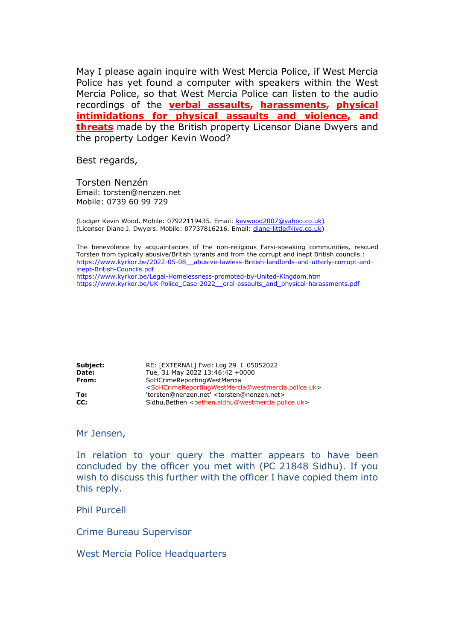May I please again inquire with West Mercia Police, if West Mercia Police has yet found a computer with speakers within the West Mercia Police, so that West Mercia Police can listen to the audio recordings of the **verbal assaults, harassments, physical intimidations for physical assaults and violence, and threats** made by the British property Licensor Diane Dwyers and the property Lodger Kevin Wood?

Best regards,

Torsten Nenzén Email: torsten@nenzen.net Mobile: 0739 60 99 729

(Lodger Kevin Wood. Mobile: 07922119435. Email: [kevwood2007@yahoo.co.uk\)](mailto:kevwood2007@yahoo.co.uk) (Licensor Diane J. Dwyers. Mobile: 07737816216. Email: [diane-little@live.co.uk\)](mailto:diane-little@live.co.uk)

The benevolence by acquaintances of the non-religious Farsi-speaking communities, rescued Torsten from typically abusive/British tyrants and from the corrupt and inept British councils.: [https://www.kyrkor.be/2022-05-08\\_\\_abusive-lawless-British-landlords-and-utterly-corrupt-and](https://www.kyrkor.be/2022-05-08__abusive-lawless-British-landlords-and-utterly-corrupt-and-inept-British-Councils.pdf)[inept-British-Councils.pdf](https://www.kyrkor.be/2022-05-08__abusive-lawless-British-landlords-and-utterly-corrupt-and-inept-British-Councils.pdf) <https://www.kyrkor.be/Legal-Homelessness-promoted-by-United-Kingdom.htm> [https://www.kyrkor.be/UK-Police\\_Case-2022\\_\\_oral-assaults\\_and\\_physical-harassments.pdf](https://www.kyrkor.be/UK-Police_Case-2022__oral-assaults_and_physical-harassments.pdf)

**Subject:** RE: [EXTERNAL] Fwd: Log 29 I 05052022 **Date:** Tue, 31 May 2022 13:46:42 +0000 **From:** SoHCrimeReportingWestMercia <SoHCrimeReportingWestMercia@westmercia.police.uk> **To:** 'torsten@nenzen.net' <torsten@nenzen.net> **CC:** Sidhu,Bethen <bethen.sidhu@westmercia.police.uk>

Mr Jensen,

In relation to your query the matter appears to have been concluded by the officer you met with (PC 21848 Sidhu). If you wish to discuss this further with the officer I have copied them into this reply.

Phil Purcell

Crime Bureau Supervisor

West Mercia Police Headquarters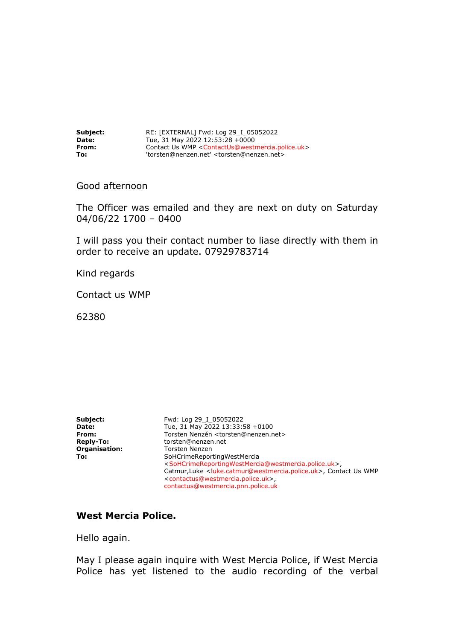| Subject:     | RE: [EXTERNAL] Fwd: Log 29 I 05052022                                            |
|--------------|----------------------------------------------------------------------------------|
| <b>Date:</b> | Tue, 31 May 2022 12:53:28 +0000                                                  |
| From:        | Contact Us WMP <contactus@westmercia.police.uk></contactus@westmercia.police.uk> |
| To:          | 'torsten@nenzen.net' <torsten@nenzen.net></torsten@nenzen.net>                   |

Good afternoon

The Officer was emailed and they are next on duty on Saturday 04/06/22 1700 – 0400

I will pass you their contact number to liase directly with them in order to receive an update. 07929783714

Kind regards

Contact us WMP

62380

| Subject:             | Fwd: Log 29 I 05052022                                                                                |
|----------------------|-------------------------------------------------------------------------------------------------------|
| Date:                | Tue, 31 May 2022 13:33:58 +0100                                                                       |
| From:                | Torsten Nenzén <torsten@nenzen.net></torsten@nenzen.net>                                              |
| <b>Reply-To:</b>     | torsten@nenzen.net                                                                                    |
| <b>Organisation:</b> | <b>Torsten Nenzen</b>                                                                                 |
| To:                  | SoHCrimeReportingWestMercia                                                                           |
|                      | <sohcrimereportingwestmercia@westmercia.police.uk></sohcrimereportingwestmercia@westmercia.police.uk> |
|                      | Catmur, Luke <luke.catmur@westmercia.police.uk>, Contact Us WMP</luke.catmur@westmercia.police.uk>    |
|                      | <contactus@westmercia.police.uk>,</contactus@westmercia.police.uk>                                    |
|                      | contactus@westmercia.pnn.police.uk                                                                    |

#### **West Mercia Police.**

Hello again.

May I please again inquire with West Mercia Police, if West Mercia Police has yet listened to the audio recording of the verbal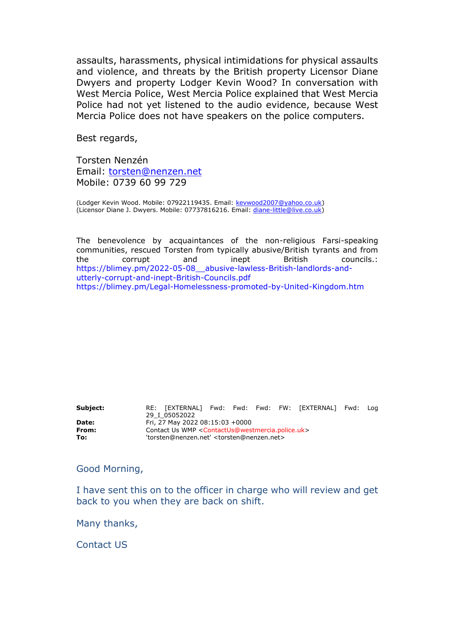assaults, harassments, physical intimidations for physical assaults and violence, and threats by the British property Licensor Diane Dwyers and property Lodger Kevin Wood? In conversation with West Mercia Police, West Mercia Police explained that West Mercia Police had not yet listened to the audio evidence, because West Mercia Police does not have speakers on the police computers.

Best regards,

Torsten Nenzén Email: [torsten@nenzen.net](mailto:torsten@nenzen.net) Mobile: 0739 60 99 729

(Lodger Kevin Wood. Mobile: 07922119435. Email: [kevwood2007@yahoo.co.uk\)](mailto:kevwood2007@yahoo.co.uk) (Licensor Diane J. Dwyers. Mobile: 07737816216. Email: [diane-little@live.co.uk\)](mailto:diane-little@live.co.uk)

The benevolence by acquaintances of the non-religious Farsi-speaking communities, rescued Torsten from typically abusive/British tyrants and from the corrupt and inept British councils.: [https://blimey.pm/2022-05-08\\_\\_abusive-lawless-British-landlords-and](https://blimey.pm/2022-05-08__abusive-lawless-British-landlords-and-utterly-corrupt-and-inept-British-Councils.pdf)[utterly-corrupt-and-inept-British-Councils.pdf](https://blimey.pm/2022-05-08__abusive-lawless-British-landlords-and-utterly-corrupt-and-inept-British-Councils.pdf) <https://blimey.pm/Legal-Homelessness-promoted-by-United-Kingdom.htm>

**Subject:** RE: [EXTERNAL] Fwd: Fwd: Fwd: FW: [EXTERNAL] Fwd: Log 29\_I\_05052022 **Date: Fri, 27 May 2022 08:15:03 +0000<br><b>From:** Contact Us WMP <ContactUs@wes **From:** Contact Us WMP <ContactUs@westmercia.police.uk> **To:** 'torsten@nenzen.net' <torsten@nenzen.net>

Good Morning,

I have sent this on to the officer in charge who will review and get back to you when they are back on shift.

Many thanks,

Contact US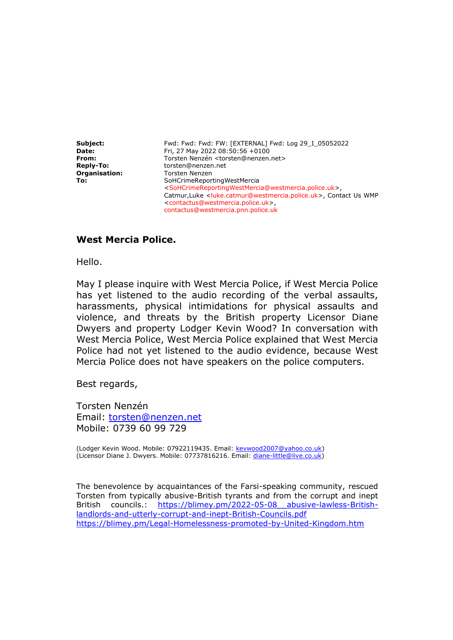**Subject:** Fwd: Fwd: Fwd: FW: [EXTERNAL] Fwd: Log 29\_I\_05052022 **Date:** Fri, 27 May 2022 08:50:56 +0100 From: Torsten Nenzén <torsten@nenzen.net> **Reply-To:** torsten@nenzen.net **Organisation: Torsten Nenzen** To: SoHCrimeReportingWestMercia <SoHCrimeReportingWestMercia@westmercia.police.uk>, Catmur,Luke <luke.catmur@westmercia.police.uk>, Contact Us WMP <contactus@westmercia.police.uk>, contactus@westmercia.pnn.police.uk

### **West Mercia Police.**

Hello.

May I please inquire with West Mercia Police, if West Mercia Police has yet listened to the audio recording of the verbal assaults, harassments, physical intimidations for physical assaults and violence, and threats by the British property Licensor Diane Dwyers and property Lodger Kevin Wood? In conversation with West Mercia Police, West Mercia Police explained that West Mercia Police had not yet listened to the audio evidence, because West Mercia Police does not have speakers on the police computers.

Best regards,

Torsten Nenzén Email: [torsten@nenzen.net](mailto:torsten@nenzen.net) Mobile: 0739 60 99 729

(Lodger Kevin Wood. Mobile: 07922119435. Email: [kevwood2007@yahoo.co.uk\)](mailto:kevwood2007@yahoo.co.uk) (Licensor Diane J. Dwyers. Mobile: 07737816216. Email: [diane-little@live.co.uk\)](mailto:diane-little@live.co.uk)

The benevolence by acquaintances of the Farsi-speaking community, rescued Torsten from typically abusive-British tyrants and from the corrupt and inept British councils.: [https://blimey.pm/2022-05-08\\_\\_abusive-lawless-British](https://blimey.pm/2022-05-08__abusive-lawless-British-landlords-and-utterly-corrupt-and-inept-British-Councils.pdf)[landlords-and-utterly-corrupt-and-inept-British-Councils.pdf](https://blimey.pm/2022-05-08__abusive-lawless-British-landlords-and-utterly-corrupt-and-inept-British-Councils.pdf) <https://blimey.pm/Legal-Homelessness-promoted-by-United-Kingdom.htm>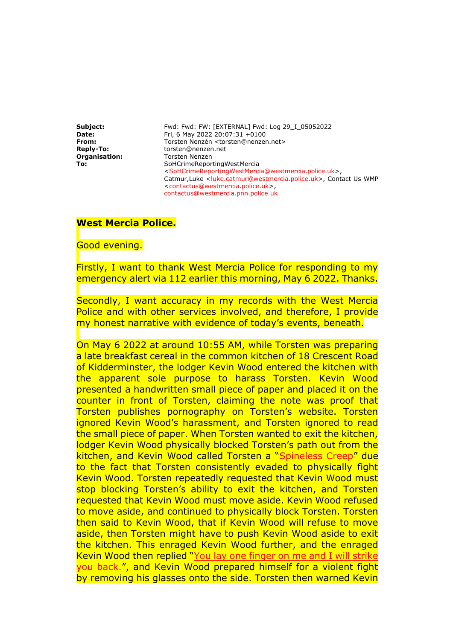**Subject:** Fwd: Fwd: FW: [EXTERNAL] Fwd: Log 29\_I\_05052022 **Date:** Fri, 6 May 2022 20:07:31 +0100 From: Torsten Nenzén <torsten@nenzen.net> **Reply-To:** torsten@nenzen.net **Organisation: Torsten Nenzen** To: **To:** SoHCrimeReportingWestMercia <SoHCrimeReportingWestMercia@westmercia.police.uk>, Catmur,Luke <luke.catmur@westmercia.police.uk>, Contact Us WMP <contactus@westmercia.police.uk>, contactus@westmercia.pnn.police.uk

### **West Mercia Police.**

Good evening.

Firstly, I want to thank West Mercia Police for responding to my emergency alert via 112 earlier this morning, May 6 2022. Thanks.

Secondly, I want accuracy in my records with the West Mercia Police and with other services involved, and therefore, I provide my honest narrative with evidence of today's events, beneath.

On May 6 2022 at around 10:55 AM, while Torsten was preparing a late breakfast cereal in the common kitchen of 18 Crescent Road of Kidderminster, the lodger Kevin Wood entered the kitchen with the apparent sole purpose to harass Torsten. Kevin Wood presented a handwritten small piece of paper and placed it on the counter in front of Torsten, claiming the note was proof that Torsten publishes pornography on Torsten's website. Torsten ignored Kevin Wood's harassment, and Torsten ignored to read the small piece of paper. When Torsten wanted to exit the kitchen, lodger Kevin Wood physically blocked Torsten's path out from the kitchen, and Kevin Wood called Torsten a "Spineless Creep" due to the fact that Torsten consistently evaded to physically fight Kevin Wood. Torsten repeatedly requested that Kevin Wood must stop blocking Torsten's ability to exit the kitchen, and Torsten requested that Kevin Wood must move aside. Kevin Wood refused to move aside, and continued to physically block Torsten. Torsten then said to Kevin Wood, that if Kevin Wood will refuse to move aside, then Torsten might have to push Kevin Wood aside to exit the kitchen. This enraged Kevin Wood further, and the enraged Kevin Wood then replied "You lay one finger on me and I will strike you back.", and Kevin Wood prepared himself for a violent fight by removing his glasses onto the side. Torsten then warned Kevin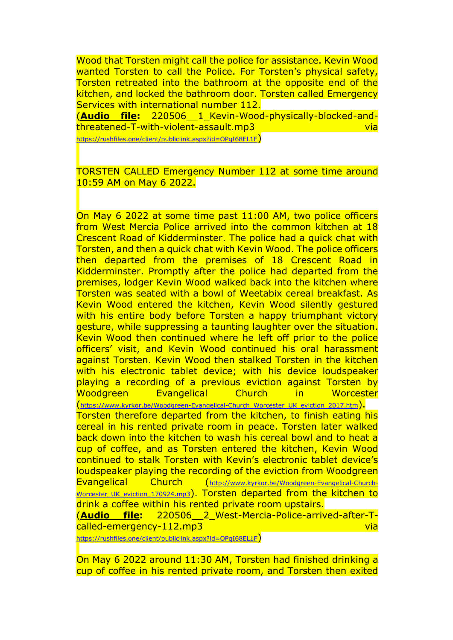Wood that Torsten might call the police for assistance. Kevin Wood wanted Torsten to call the Police. For Torsten's physical safety, Torsten retreated into the bathroom at the opposite end of the kitchen, and locked the bathroom door. Torsten called Emergency Services with international number 112.

(**Audio file:** 220506\_\_1\_Kevin-Wood-physically-blocked-andthreatened-T-with-violent-assault.mp3 via

<https://rushfiles.one/client/publiclink.aspx?id=OPqI68EL1F>)

TORSTEN CALLED Emergency Number 112 at some time around 10:59 AM on May 6 2022.

On May 6 2022 at some time past 11:00 AM, two police officers from West Mercia Police arrived into the common kitchen at 18 Crescent Road of Kidderminster. The police had a quick chat with Torsten, and then a quick chat with Kevin Wood. The police officers then departed from the premises of 18 Crescent Road in Kidderminster. Promptly after the police had departed from the premises, lodger Kevin Wood walked back into the kitchen where Torsten was seated with a bowl of Weetabix cereal breakfast. As Kevin Wood entered the kitchen, Kevin Wood silently gestured with his entire body before Torsten a happy triumphant victory gesture, while suppressing a taunting laughter over the situation. Kevin Wood then continued where he left off prior to the police officers' visit, and Kevin Wood continued his oral harassment against Torsten. Kevin Wood then stalked Torsten in the kitchen with his electronic tablet device; with his device loudspeaker playing a recording of a previous eviction against Torsten by Woodgreen Evangelical Church in Worcester

([https://www.kyrkor.be/Woodgreen-Evangelical-Church\\_Worcester\\_UK\\_eviction\\_2017.htm](https://www.kyrkor.be/Woodgreen-Evangelical-Church_Worcester_UK_eviction_2017.htm)).

Torsten therefore departed from the kitchen, to finish eating his cereal in his rented private room in peace. Torsten later walked back down into the kitchen to wash his cereal bowl and to heat a cup of coffee, and as Torsten entered the kitchen, Kevin Wood continued to stalk Torsten with Kevin's electronic tablet device's loudspeaker playing the recording of the eviction from Woodgreen Evangelical Church ([http://www.kyrkor.be/Woodgreen-Evangelical-Church-](http://www.kyrkor.be/Woodgreen-Evangelical-Church-Worcester_UK_eviction_170924.mp3)Worcester UK eviction 170924.mp3). Torsten departed from the kitchen to drink a coffee within his rented private room upstairs.

(**Audio file:** 220506\_\_2\_West-Mercia-Police-arrived-after-Tcalled-emergency-112.mp3 via

<https://rushfiles.one/client/publiclink.aspx?id=OPqI68EL1F>)

On May 6 2022 around 11:30 AM, Torsten had finished drinking a cup of coffee in his rented private room, and Torsten then exited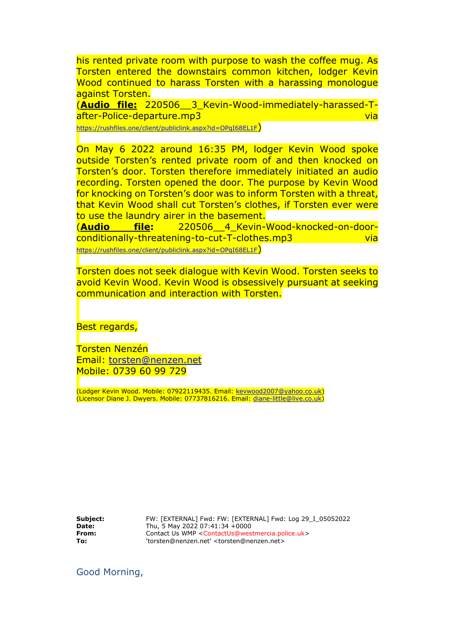his rented private room with purpose to wash the coffee mug. As Torsten entered the downstairs common kitchen, lodger Kevin Wood continued to harass Torsten with a harassing monologue against Torsten.

(**Audio file:** 220506\_\_3\_Kevin-Wood-immediately-harassed-Tafter-Police-departure.mp3 via via via via via

<https://rushfiles.one/client/publiclink.aspx?id=OPqI68EL1F>)

On May 6 2022 around 16:35 PM, lodger Kevin Wood spoke outside Torsten's rented private room of and then knocked on Torsten's door. Torsten therefore immediately initiated an audio recording. Torsten opened the door. The purpose by Kevin Wood for knocking on Torsten's door was to inform Torsten with a threat, that Kevin Wood shall cut Torsten's clothes, if Torsten ever were to use the laundry airer in the basement.

(**Audio file:** 220506\_\_4\_Kevin-Wood-knocked-on-doorconditionally-threatening-to-cut-T-clothes.mp3 via <https://rushfiles.one/client/publiclink.aspx?id=OPqI68EL1F>)

Torsten does not seek dialogue with Kevin Wood. Torsten seeks to avoid Kevin Wood. Kevin Wood is obsessively pursuant at seeking communication and interaction with Torsten.

Best regards,

Torsten Nenzén Email: [torsten@nenzen.net](mailto:torsten@nenzen.net) Mobile: 0739 60 99 729

(Lodger Kevin Wood. Mobile: 07922119435. Email: [kevwood2007@yahoo.co.uk\)](mailto:kevwood2007@yahoo.co.uk) (Licensor Diane J. Dwyers. Mobile: 07737816216. Email: [diane-little@live.co.uk\)](mailto:diane-little@live.co.uk)

**Subject:** FW: [EXTERNAL] Fwd: FW: [EXTERNAL] Fwd: Log 29\_I\_05052022 **Date:** Thu, 5 May 2022 07:41:34 +0000<br>**From:** Contact Us WMP <ContactUs@wes **From:** Contact Us WMP <ContactUs@westmercia.police.uk> **To:** 'torsten@nenzen.net' <torsten@nenzen.net>

Good Morning,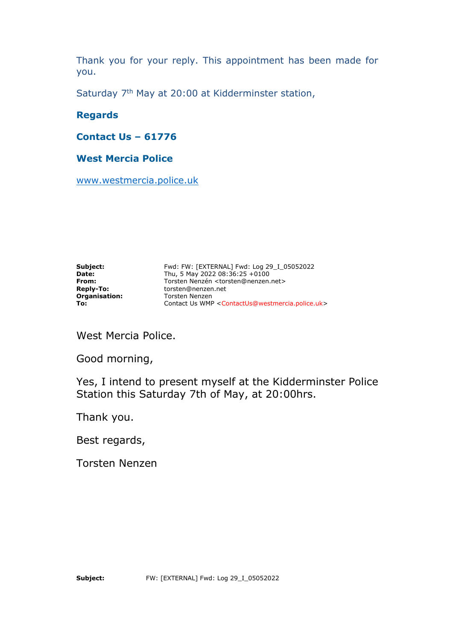Thank you for your reply. This appointment has been made for you.

Saturday 7<sup>th</sup> May at 20:00 at Kidderminster station,

## **Regards**

**Contact Us – 61776**

## **West Mercia Police**

[www.westmercia.police.uk](http://www.westmercia.police.uk/)

**Subject:** Fwd: FW: [EXTERNAL] Fwd: Log 29\_I\_05052022 **Date:** Thu, 5 May 2022 08:36:25 +0100 **From:** Torsten Nenzén <torsten@nenzen.net> **Reply-To:** torsten@nenzen.net **Organisation:** Torsten Nenzen To: **To:** Contact Us WMP <ContactUs@westmercia.police.uk>

West Mercia Police.

Good morning,

Yes, I intend to present myself at the Kidderminster Police Station this Saturday 7th of May, at 20:00hrs.

Thank you.

Best regards,

Torsten Nenzen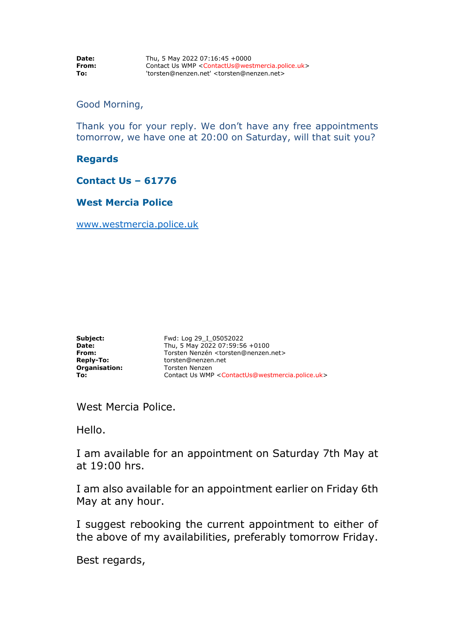| Date: | Thu, 5 May 2022 07:16:45 +0000                                                   |
|-------|----------------------------------------------------------------------------------|
| From: | Contact Us WMP <contactus@westmercia.police.uk></contactus@westmercia.police.uk> |
| To:   | 'torsten@nenzen.net' <torsten@nenzen.net></torsten@nenzen.net>                   |

#### Good Morning,

Thank you for your reply. We don't have any free appointments tomorrow, we have one at 20:00 on Saturday, will that suit you?

#### **Regards**

#### **Contact Us – 61776**

### **West Mercia Police**

[www.westmercia.police.uk](http://www.westmercia.police.uk/)

| Subject:         | Fwd: I |
|------------------|--------|
| Date:            | Thu, 5 |
| From:            | Torste |
| <b>Reply-To:</b> | torste |
| Organisation:    | Torste |
| To:              | Conta  |

**Subject:** Fwd: Log 29\_I\_05052022 **Date:** Thu, 5 May 2022 07:59:56 +0100 **From:** Torsten Nenzén <torsten@nenzen.net> **Reply-To:** torsten@nenzen.net en Nenzen **To:** Contact Us WMP <ContactUs@westmercia.police.uk>

West Mercia Police.

Hello.

I am available for an appointment on Saturday 7th May at at 19:00 hrs.

I am also available for an appointment earlier on Friday 6th May at any hour.

I suggest rebooking the current appointment to either of the above of my availabilities, preferably tomorrow Friday.

Best regards,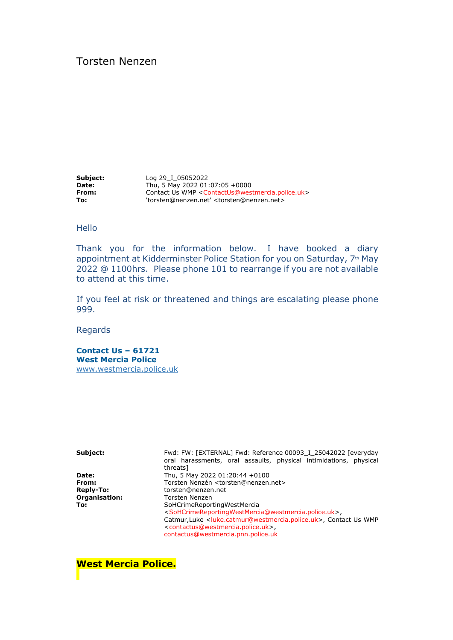## Torsten Nenzen

**Subject:** Log 29\_I\_05052022 **Date:** Thu, 5 May 2022 01:07:05 +0000 **From: Contact Us WMP <ContactUs@westmercia.police.uk> To:** 'torsten@nenzen.net' <torsten@nenzen.net>

#### Hello

Thank you for the information below. I have booked a diary appointment at Kidderminster Police Station for you on Saturday, 7th May 2022 @ 1100hrs. Please phone 101 to rearrange if you are not available to attend at this time.

If you feel at risk or threatened and things are escalating please phone 999.

Regards

**Contact Us – 61721 West Mercia Police**

[www.westmercia.police.uk](http://www.westmercia.police.uk/)

Subject: Fwd: FW: [EXTERNAL] Fwd: Reference 00093\_I\_25042022 [everyday oral harassments, oral assaults, physical intimidations, physical threats] **Date:** Thu, 5 May 2022 01:20:44 +0100 From: Torsten Nenzén <torsten@nenzen.net> **Reply-To:** torsten@nenzen.net **Organisation:** Torsten Nenzen **To:** SoHCrimeReportingWestMercia <SoHCrimeReportingWestMercia@westmercia.police.uk>, Catmur,Luke <luke.catmur@westmercia.police.uk>, Contact Us WMP <contactus@westmercia.police.uk>, contactus@westmercia.pnn.police.uk

**West Mercia Police.**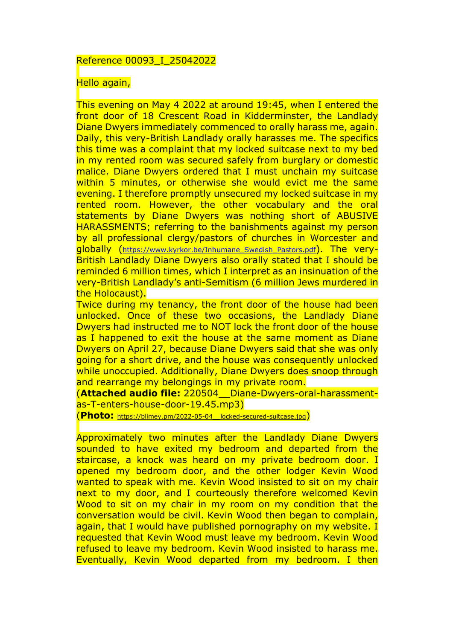#### Reference 00093\_I\_25042022

#### Hello again,

This evening on May 4 2022 at around 19:45, when I entered the front door of 18 Crescent Road in Kidderminster, the Landlady Diane Dwyers immediately commenced to orally harass me, again. Daily, this very-British Landlady orally harasses me. The specifics this time was a complaint that my locked suitcase next to my bed in my rented room was secured safely from burglary or domestic malice. Diane Dwyers ordered that I must unchain my suitcase within 5 minutes, or otherwise she would evict me the same evening. I therefore promptly unsecured my locked suitcase in my rented room. However, the other vocabulary and the oral statements by Diane Dwyers was nothing short of ABUSIVE HARASSMENTS; referring to the banishments against my person by all professional clergy/pastors of churches in Worcester and globally ([https://www.kyrkor.be/Inhumane\\_Swedish\\_Pastors.pdf](https://www.kyrkor.be/Inhumane_Swedish_Pastors.pdf)). The very-British Landlady Diane Dwyers also orally stated that I should be reminded 6 million times, which I interpret as an insinuation of the very-British Landlady's anti-Semitism (6 million Jews murdered in the Holocaust).

Twice during my tenancy, the front door of the house had been unlocked. Once of these two occasions, the Landlady Diane Dwyers had instructed me to NOT lock the front door of the house as I happened to exit the house at the same moment as Diane Dwyers on April 27, because Diane Dwyers said that she was only going for a short drive, and the house was consequently unlocked while unoccupied. Additionally, Diane Dwyers does snoop through and rearrange my belongings in my private room.

(**Attached audio file:** 220504\_\_Diane-Dwyers-oral-harassmentas-T-enters-house-door-19.45.mp3)

(**Photo:** [https://blimey.pm/2022-05-04\\_\\_locked-secured-suitcase.jpg](https://blimey.pm/2022-05-04__locked-secured-suitcase.jpg))

Approximately two minutes after the Landlady Diane Dwyers sounded to have exited my bedroom and departed from the staircase, a knock was heard on my private bedroom door. I opened my bedroom door, and the other lodger Kevin Wood wanted to speak with me. Kevin Wood insisted to sit on my chair next to my door, and I courteously therefore welcomed Kevin Wood to sit on my chair in my room on my condition that the conversation would be civil. Kevin Wood then began to complain, again, that I would have published pornography on my website. I requested that Kevin Wood must leave my bedroom. Kevin Wood refused to leave my bedroom. Kevin Wood insisted to harass me. Eventually, Kevin Wood departed from my bedroom. I then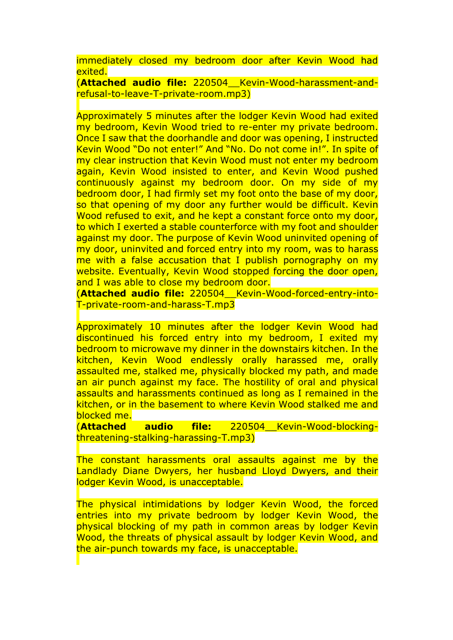immediately closed my bedroom door after Kevin Wood had exited.

(**Attached audio file:** 220504\_\_Kevin-Wood-harassment-andrefusal-to-leave-T-private-room.mp3)

Approximately 5 minutes after the lodger Kevin Wood had exited my bedroom, Kevin Wood tried to re-enter my private bedroom. Once I saw that the doorhandle and door was opening, I instructed Kevin Wood "Do not enter!" And "No. Do not come in!". In spite of my clear instruction that Kevin Wood must not enter my bedroom again, Kevin Wood insisted to enter, and Kevin Wood pushed continuously against my bedroom door. On my side of my bedroom door, I had firmly set my foot onto the base of my door, so that opening of my door any further would be difficult. Kevin Wood refused to exit, and he kept a constant force onto my door, to which I exerted a stable counterforce with my foot and shoulder against my door. The purpose of Kevin Wood uninvited opening of my door, uninvited and forced entry into my room, was to harass me with a false accusation that I publish pornography on my website. Eventually, Kevin Wood stopped forcing the door open, and I was able to close my bedroom door.

(**Attached audio file:** 220504\_\_Kevin-Wood-forced-entry-into-T-private-room-and-harass-T.mp3

Approximately 10 minutes after the lodger Kevin Wood had discontinued his forced entry into my bedroom, I exited my bedroom to microwave my dinner in the downstairs kitchen. In the kitchen, Kevin Wood endlessly orally harassed me, orally assaulted me, stalked me, physically blocked my path, and made an air punch against my face. The hostility of oral and physical assaults and harassments continued as long as I remained in the kitchen, or in the basement to where Kevin Wood stalked me and blocked me.

(**Attached audio file:** 220504\_\_Kevin-Wood-blockingthreatening-stalking-harassing-T.mp3)

The constant harassments oral assaults against me by the Landlady Diane Dwyers, her husband Lloyd Dwyers, and their lodger Kevin Wood, is unacceptable.

The physical intimidations by lodger Kevin Wood, the forced entries into my private bedroom by lodger Kevin Wood, the physical blocking of my path in common areas by lodger Kevin Wood, the threats of physical assault by lodger Kevin Wood, and the air-punch towards my face, is unacceptable.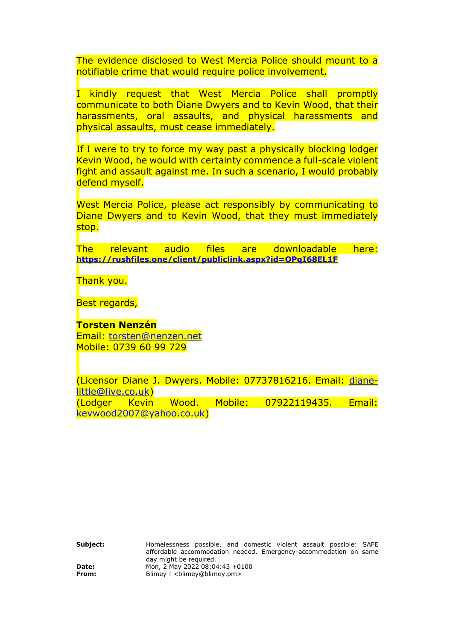The evidence disclosed to West Mercia Police should mount to a notifiable crime that would require police involvement.

I kindly request that West Mercia Police shall promptly communicate to both Diane Dwyers and to Kevin Wood, that their harassments, oral assaults, and physical harassments and physical assaults, must cease immediately.

If I were to try to force my way past a physically blocking lodger Kevin Wood, he would with certainty commence a full-scale violent fight and assault against me. In such a scenario, I would probably defend myself.

West Mercia Police, please act responsibly by communicating to Diane Dwyers and to Kevin Wood, that they must immediately stop.

The relevant audio files are downloadable here: **<https://rushfiles.one/client/publiclink.aspx?id=OPqI68EL1F>**

Thank you.

Best regards,

**Torsten Nenzén** Email: [torsten@nenzen.net](mailto:torsten@nenzen.net) Mobile: 0739 60 99 729

(Licensor Diane J. Dwyers. Mobile: 07737816216. Email: [diane](mailto:diane-little@live.co.uk)[little@live.co.uk\)](mailto:diane-little@live.co.uk) (Lodger Kevin Wood. Mobile: 07922119435. Email: [kevwood2007@yahoo.co.uk\)](mailto:kevwood2007@yahoo.co.uk)

**Subject:** Homelessness possible, and domestic violent assault possible: SAFE affordable accommodation needed. Emergency-accommodation on same day might be required. **Date:** Mon, 2 May 2022 08:04:43 +0100 **From: Blimey ! <blimey@blimey.pm>**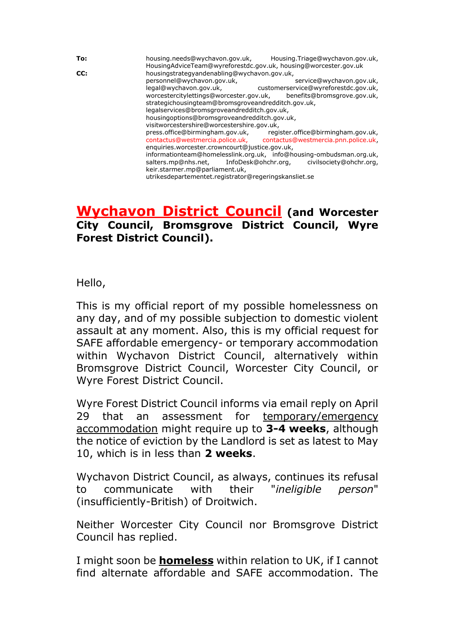**To:** housing.needs@wychavon.gov.uk, Housing.Triage@wychavon.gov.uk, HousingAdviceTeam@wyreforestdc.gov.uk, housing@worcester.gov.uk **CC:** housingstrategyandenabling@wychavon.gov.uk, personnel@wychavon.gov.uk, service@wychavon.gov.uk, legal@wychavon.gov.uk, customerservice@wyreforestdc.gov.uk, worcestercitylettings@worcester.gov.uk, benefits@bromsgrove.gov.uk, strategichousingteam@bromsgroveandredditch.gov.uk, legalservices@bromsgroveandredditch.gov.uk, housingoptions@bromsgroveandredditch.gov.uk, visitworcestershire@worcestershire.gov.uk,<br>press.office@birmingham.gov.uk, regi press.office@birmingham.gov.uk, register.office@birmingham.gov.uk, contactus@westmercia.police.uk, contactus@westmercia.pnn.police.uk, enquiries.worcester.crowncourt@justice.gov.uk, informationteam@homelesslink.org.uk, info@housing-ombudsman.org.uk, salters.mp@nhs.net, InfoDesk@ohchr.org, civilsociety@ohchr.org, salters.mp@nhs.net, InfoDesk@ohchr.org, civilsociety@ohchr.org, keir.starmer.mp@parliament.uk, utrikesdepartementet.registrator@regeringskansliet.se

# **Wychavon District Council (and Worcester City Council, Bromsgrove District Council, Wyre Forest District Council).**

Hello,

This is my official report of my possible homelessness on any day, and of my possible subjection to domestic violent assault at any moment. Also, this is my official request for SAFE affordable emergency- or temporary accommodation within Wychavon District Council, alternatively within Bromsgrove District Council, Worcester City Council, or Wyre Forest District Council.

Wyre Forest District Council informs via email reply on April 29 that an assessment for temporary/emergency accommodation might require up to **3-4 weeks**, although the notice of eviction by the Landlord is set as latest to May 10, which is in less than **2 weeks**.

Wychavon District Council, as always, continues its refusal to communicate with their "*ineligible person*" (insufficiently-British) of Droitwich.

Neither Worcester City Council nor Bromsgrove District Council has replied.

I might soon be **homeless** within relation to UK, if I cannot find alternate affordable and SAFE accommodation. The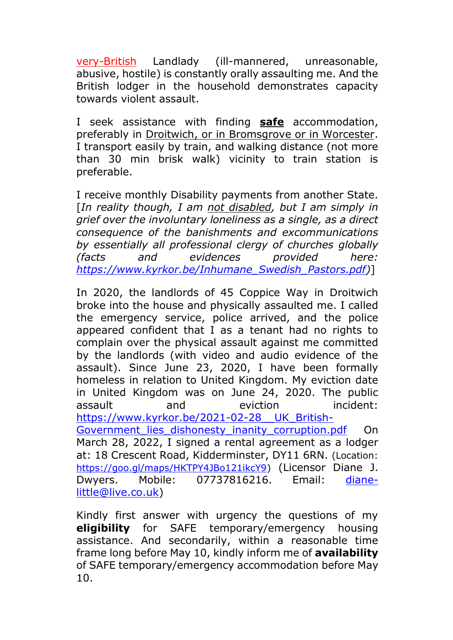very-British Landlady (ill-mannered, unreasonable, abusive, hostile) is constantly orally assaulting me. And the British lodger in the household demonstrates capacity towards violent assault.

I seek assistance with finding **safe** accommodation, preferably in Droitwich, or in Bromsgrove or in Worcester. I transport easily by train, and walking distance (not more than 30 min brisk walk) vicinity to train station is preferable.

I receive monthly Disability payments from another State. [*In reality though, I am not disabled, but I am simply in grief over the involuntary loneliness as a single, as a direct consequence of the banishments and excommunications by essentially all professional clergy of churches globally (facts and evidences provided here: [https://www.kyrkor.be/Inhumane\\_Swedish\\_Pastors.pdf\)](https://www.kyrkor.be/Inhumane_Swedish_Pastors.pdf)*]

In 2020, the landlords of 45 Coppice Way in Droitwich broke into the house and physically assaulted me. I called the emergency service, police arrived, and the police appeared confident that I as a tenant had no rights to complain over the physical assault against me committed by the landlords (with video and audio evidence of the assault). Since June 23, 2020, I have been formally homeless in relation to United Kingdom. My eviction date in United Kingdom was on June 24, 2020. The public assault and eviction incident: [https://www.kyrkor.be/2021-02-28\\_\\_UK\\_British-](https://www.kyrkor.be/2021-02-28__UK_British-Government_lies_dishonesty_inanity_corruption.pdf)Government lies dishonesty inanity corruption.pdf On March 28, 2022, I signed a rental agreement as a lodger at: 18 Crescent Road, Kidderminster, DY11 6RN. (Location: [https://goo.gl/maps/HKTPY4JBo121ikcY9\)](https://goo.gl/maps/HKTPY4JBo121ikcY9) (Licensor Diane J. Dwyers. Mobile: 07737816216. Email: [diane](mailto:diane-little@live.co.uk)[little@live.co.uk\)](mailto:diane-little@live.co.uk)

Kindly first answer with urgency the questions of my **eligibility** for SAFE temporary/emergency housing assistance. And secondarily, within a reasonable time frame long before May 10, kindly inform me of **availability** of SAFE temporary/emergency accommodation before May 10.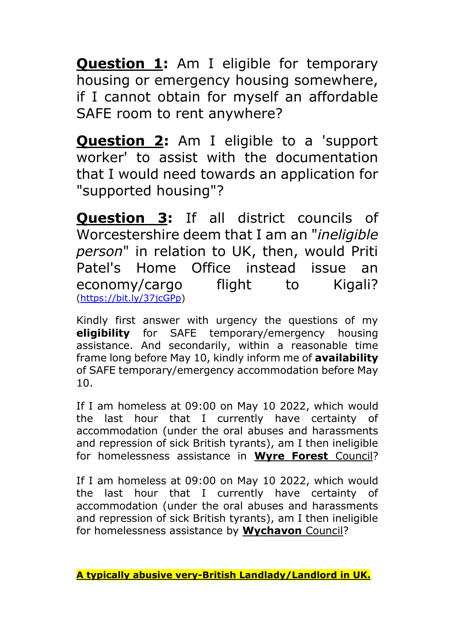**Question 1:** Am I eligible for temporary housing or emergency housing somewhere, if I cannot obtain for myself an affordable SAFE room to rent anywhere?

**Question 2:** Am I eligible to a 'support worker' to assist with the documentation that I would need towards an application for "supported housing"?

**Question 3:** If all district councils of Worcestershire deem that I am an "*ineligible person*" in relation to UK, then, would Priti Patel's Home Office instead issue an economy/cargo flight to Kigali? [\(https://bit.ly/37jcGPp\)](https://bit.ly/37jcGPp)

Kindly first answer with urgency the questions of my **eligibility** for SAFE temporary/emergency housing assistance. And secondarily, within a reasonable time frame long before May 10, kindly inform me of **availability** of SAFE temporary/emergency accommodation before May 10.

If I am homeless at 09:00 on May 10 2022, which would the last hour that I currently have certainty of accommodation (under the oral abuses and harassments and repression of sick British tyrants), am I then ineligible for homelessness assistance in **Wyre Forest** Council?

If I am homeless at 09:00 on May 10 2022, which would the last hour that I currently have certainty of accommodation (under the oral abuses and harassments and repression of sick British tyrants), am I then ineligible for homelessness assistance by **Wychavon** Council?

**A typically abusive very-British Landlady/Landlord in UK.**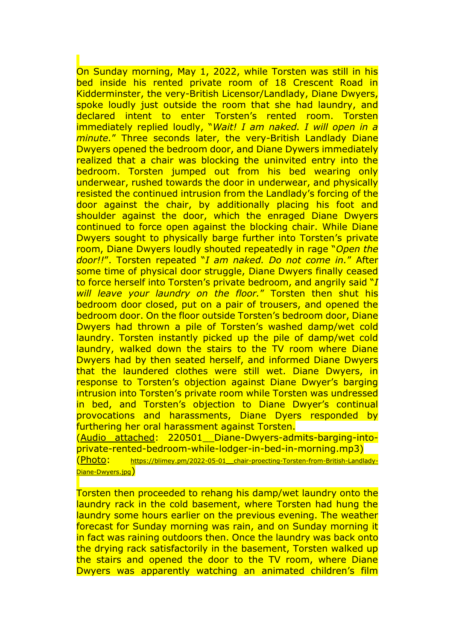On Sunday morning, May 1, 2022, while Torsten was still in his bed inside his rented private room of 18 Crescent Road in Kidderminster, the very-British Licensor/Landlady, Diane Dwyers, spoke loudly just outside the room that she had laundry, and declared intent to enter Torsten's rented room. Torsten immediately replied loudly, "*Wait! I am naked. I will open in a minute.*" Three seconds later, the very-British Landlady Diane Dwyers opened the bedroom door, and Diane Dywers immediately realized that a chair was blocking the uninvited entry into the bedroom. Torsten jumped out from his bed wearing only underwear, rushed towards the door in underwear, and physically resisted the continued intrusion from the Landlady's forcing of the door against the chair, by additionally placing his foot and shoulder against the door, which the enraged Diane Dwyers continued to force open against the blocking chair. While Diane Dwyers sought to physically barge further into Torsten's private room, Diane Dwyers loudly shouted repeatedly in rage "*Open the door!!*". Torsten repeated "*I am naked. Do not come in.*" After some time of physical door struggle, Diane Dwyers finally ceased to force herself into Torsten's private bedroom, and angrily said "*I will leave your laundry on the floor.*" Torsten then shut his bedroom door closed, put on a pair of trousers, and opened the bedroom door. On the floor outside Torsten's bedroom door, Diane Dwyers had thrown a pile of Torsten's washed damp/wet cold laundry. Torsten instantly picked up the pile of damp/wet cold laundry, walked down the stairs to the TV room where Diane Dwyers had by then seated herself, and informed Diane Dwyers that the laundered clothes were still wet. Diane Dwyers, in response to Torsten's objection against Diane Dwyer's barging intrusion into Torsten's private room while Torsten was undressed in bed, and Torsten's objection to Diane Dwyer's continual provocations and harassments, Diane Dyers responded by furthering her oral harassment against Torsten.

(Audio attached: 220501\_\_Diane-Dwyers-admits-barging-intoprivate-rented-bedroom-while-lodger-in-bed-in-morning.mp3)

(Photo: [https://blimey.pm/2022-05-01\\_\\_chair-proecting-Torsten-from-British-Landlady-](https://blimey.pm/2022-05-01__chair-proecting-Torsten-from-British-Landlady-Diane-Dwyers.jpg)[Diane-Dwyers.jpg](https://blimey.pm/2022-05-01__chair-proecting-Torsten-from-British-Landlady-Diane-Dwyers.jpg))

Torsten then proceeded to rehang his damp/wet laundry onto the laundry rack in the cold basement, where Torsten had hung the laundry some hours earlier on the previous evening. The weather forecast for Sunday morning was rain, and on Sunday morning it in fact was raining outdoors then. Once the laundry was back onto the drying rack satisfactorily in the basement, Torsten walked up the stairs and opened the door to the TV room, where Diane Dwyers was apparently watching an animated children's film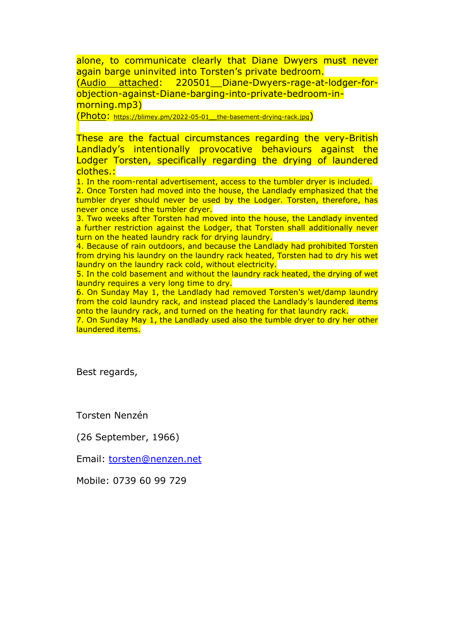alone, to communicate clearly that Diane Dwyers must never again barge uninvited into Torsten's private bedroom. (Audio attached: 220501\_\_Diane-Dwyers-rage-at-lodger-forobjection-against-Diane-barging-into-private-bedroom-inmorning.mp3)

(Photo: [https://blimey.pm/2022-05-01\\_\\_the-basement-drying-rack.jpg](https://blimey.pm/2022-05-01__the-basement-drying-rack.jpg))

These are the factual circumstances regarding the very-British Landlady's intentionally provocative behaviours against the Lodger Torsten, specifically regarding the drying of laundered clothes.:

1. In the room-rental advertisement, access to the tumbler dryer is included. 2. Once Torsten had moved into the house, the Landlady emphasized that the tumbler dryer should never be used by the Lodger. Torsten, therefore, has never once used the tumbler dryer.

3. Two weeks after Torsten had moved into the house, the Landlady invented a further restriction against the Lodger, that Torsten shall additionally never turn on the heated laundry rack for drying laundry.

4. Because of rain outdoors, and because the Landlady had prohibited Torsten from drying his laundry on the laundry rack heated, Torsten had to dry his wet laundry on the laundry rack cold, without electricity.

5. In the cold basement and without the laundry rack heated, the drying of wet laundry requires a very long time to dry.

6. On Sunday May 1, the Landlady had removed Torsten's wet/damp laundry from the cold laundry rack, and instead placed the Landlady's laundered items onto the laundry rack, and turned on the heating for that laundry rack.

7. On Sunday May 1, the Landlady used also the tumble dryer to dry her other laundered items.

Best regards,

Torsten Nenzén

(26 September, 1966)

Email: [torsten@nenzen.net](mailto:torsten@nenzen.net)

Mobile: 0739 60 99 729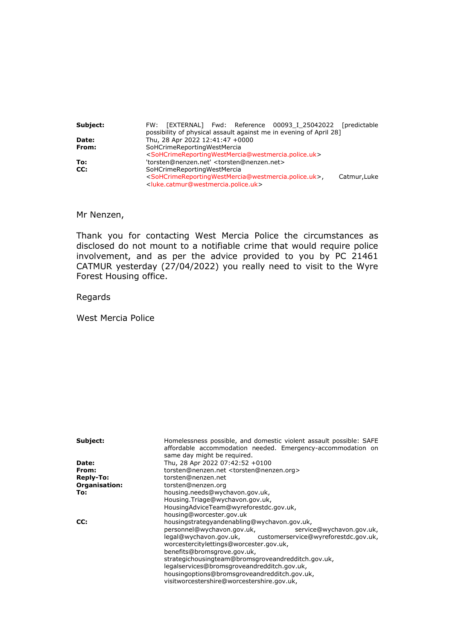| Subject: | FW: [EXTERNAL] Fwd: Reference 00093 I 25042022 [predictable<br>possibility of physical assault against me in evening of April 28]                                                                                                |
|----------|----------------------------------------------------------------------------------------------------------------------------------------------------------------------------------------------------------------------------------|
| Date:    | Thu, 28 Apr 2022 12:41:47 +0000                                                                                                                                                                                                  |
| From:    | SoHCrimeReportingWestMercia<br><sohcrimereportingwestmercia@westmercia.police.uk></sohcrimereportingwestmercia@westmercia.police.uk>                                                                                             |
| To:      | 'torsten@nenzen.net' <torsten@nenzen.net></torsten@nenzen.net>                                                                                                                                                                   |
| CC:      | SoHCrimeReportingWestMercia<br><sohcrimereportingwestmercia@westmercia.police.uk>,<br/>Catmur, Luke<br/><luke.catmur@westmercia.police.uk></luke.catmur@westmercia.police.uk></sohcrimereportingwestmercia@westmercia.police.uk> |

Mr Nenzen,

Thank you for contacting West Mercia Police the circumstances as disclosed do not mount to a notifiable crime that would require police involvement, and as per the advice provided to you by PC 21461 CATMUR yesterday (27/04/2022) you really need to visit to the Wyre Forest Housing office.

Regards

West Mercia Police

| Subject:         | Homelessness possible, and domestic violent assault possible: SAFE<br>affordable accommodation needed. Emergency-accommodation on<br>same day might be required. |
|------------------|------------------------------------------------------------------------------------------------------------------------------------------------------------------|
| Date:            | Thu, 28 Apr 2022 07:42:52 +0100                                                                                                                                  |
| From:            | torsten@nenzen.net <torsten@nenzen.org></torsten@nenzen.org>                                                                                                     |
| <b>Reply-To:</b> | torsten@nenzen.net                                                                                                                                               |
| Organisation:    | torsten@nenzen.org                                                                                                                                               |
| To:              | housing.needs@wychavon.gov.uk,                                                                                                                                   |
|                  | Housing.Triage@wychavon.gov.uk,                                                                                                                                  |
|                  | HousingAdviceTeam@wyreforestdc.gov.uk,                                                                                                                           |
|                  | housing@worcester.gov.uk                                                                                                                                         |
| CC:              | housingstrategyandenabling@wychavon.gov.uk,                                                                                                                      |
|                  | personnel@wychavon.gov.uk,<br>service@wychavon.gov.uk,                                                                                                           |
|                  | legal@wychavon.gov.uk, customerservice@wyreforestdc.gov.uk,<br>worcestercitylettings@worcester.gov.uk,                                                           |
|                  | benefits@bromsgrove.gov.uk,                                                                                                                                      |
|                  | strategichousingteam@bromsgroveandredditch.gov.uk,                                                                                                               |
|                  | legalservices@bromsgroveandredditch.gov.uk,                                                                                                                      |
|                  | housingoptions@bromsgroveandredditch.gov.uk,                                                                                                                     |
|                  | visitworcestershire@worcestershire.gov.uk,                                                                                                                       |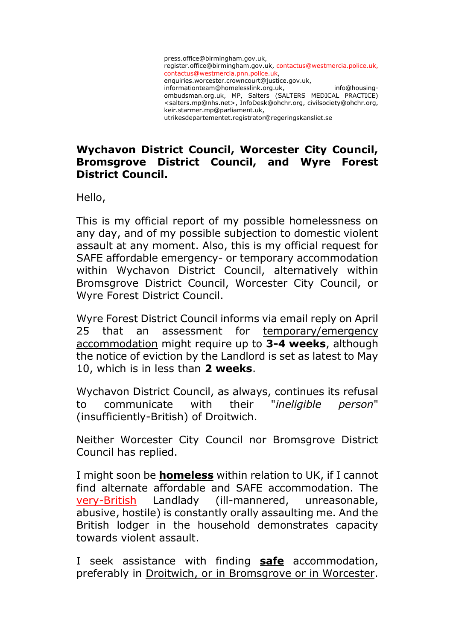

# **Wychavon District Council, Worcester City Council, Bromsgrove District Council, and Wyre Forest District Council.**

Hello,

This is my official report of my possible homelessness on any day, and of my possible subjection to domestic violent assault at any moment. Also, this is my official request for SAFE affordable emergency- or temporary accommodation within Wychavon District Council, alternatively within Bromsgrove District Council, Worcester City Council, or Wyre Forest District Council.

Wyre Forest District Council informs via email reply on April 25 that an assessment for temporary/emergency accommodation might require up to **3-4 weeks**, although the notice of eviction by the Landlord is set as latest to May 10, which is in less than **2 weeks**.

Wychavon District Council, as always, continues its refusal to communicate with their "*ineligible person*" (insufficiently-British) of Droitwich.

Neither Worcester City Council nor Bromsgrove District Council has replied.

I might soon be **homeless** within relation to UK, if I cannot find alternate affordable and SAFE accommodation. The very-British Landlady (ill-mannered, unreasonable, abusive, hostile) is constantly orally assaulting me. And the British lodger in the household demonstrates capacity towards violent assault.

I seek assistance with finding **safe** accommodation, preferably in Droitwich, or in Bromsgrove or in Worcester.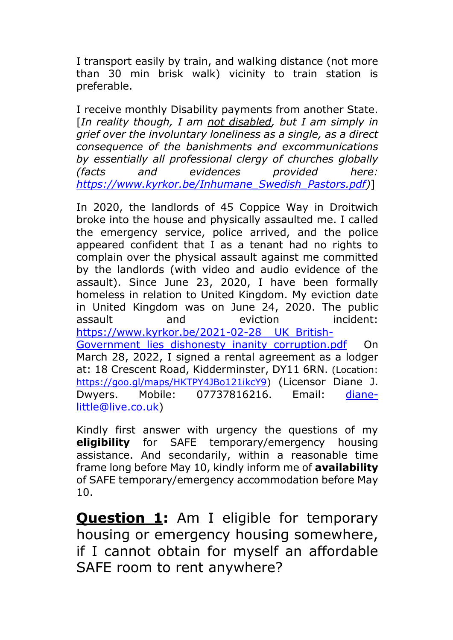I transport easily by train, and walking distance (not more than 30 min brisk walk) vicinity to train station is preferable.

I receive monthly Disability payments from another State. [*In reality though, I am not disabled, but I am simply in grief over the involuntary loneliness as a single, as a direct consequence of the banishments and excommunications by essentially all professional clergy of churches globally (facts and evidences provided here: [https://www.kyrkor.be/Inhumane\\_Swedish\\_Pastors.pdf\)](https://www.kyrkor.be/Inhumane_Swedish_Pastors.pdf)*]

In 2020, the landlords of 45 Coppice Way in Droitwich broke into the house and physically assaulted me. I called the emergency service, police arrived, and the police appeared confident that I as a tenant had no rights to complain over the physical assault against me committed by the landlords (with video and audio evidence of the assault). Since June 23, 2020, I have been formally homeless in relation to United Kingdom. My eviction date in United Kingdom was on June 24, 2020. The public assault and eviction incident: [https://www.kyrkor.be/2021-02-28\\_\\_UK\\_British-](https://www.kyrkor.be/2021-02-28__UK_British-Government_lies_dishonesty_inanity_corruption.pdf)Government lies dishonesty inanity corruption.pdf On March 28, 2022, I signed a rental agreement as a lodger at: 18 Crescent Road, Kidderminster, DY11 6RN. (Location: [https://goo.gl/maps/HKTPY4JBo121ikcY9\)](https://goo.gl/maps/HKTPY4JBo121ikcY9) (Licensor Diane J. Dwyers. Mobile: 07737816216. Email: [diane](mailto:diane-little@live.co.uk)[little@live.co.uk\)](mailto:diane-little@live.co.uk)

Kindly first answer with urgency the questions of my **eligibility** for SAFE temporary/emergency housing assistance. And secondarily, within a reasonable time frame long before May 10, kindly inform me of **availability** of SAFE temporary/emergency accommodation before May 10.

**Question 1:** Am I eligible for temporary housing or emergency housing somewhere, if I cannot obtain for myself an affordable SAFE room to rent anywhere?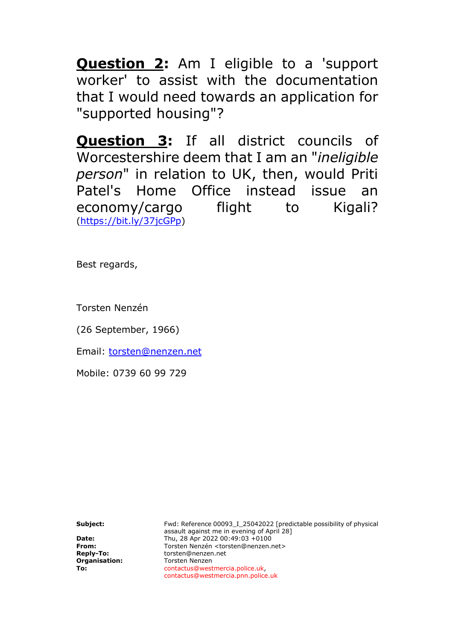**Question 2:** Am I eligible to a 'support worker' to assist with the documentation that I would need towards an application for "supported housing"?

**Question 3:** If all district councils of Worcestershire deem that I am an "*ineligible person*" in relation to UK, then, would Priti Patel's Home Office instead issue an economy/cargo flight to Kigali? [\(https://bit.ly/37jcGPp\)](https://bit.ly/37jcGPp)

Best regards,

Torsten Nenzén

(26 September, 1966)

Email: [torsten@nenzen.net](mailto:torsten@nenzen.net)

Mobile: 0739 60 99 729

**Subject:** Fwd: Reference 00093\_I\_25042022 [predictable possibility of physical assault against me in evening of April 28] **Date:** Thu, 28 Apr 2022 00:49:03 +0100<br>**From:** Torsten Nenzén <torsten@nenzen. **From: Torsten Nenzén <torsten@nenzen.net> Reply-To: CONFINENTIAL CONFINENTIAL CONFINENTIAL CONFINENTIAL CONFINENTIAL CONFINENTIAL CONFINENTIAL CONFINENTIAL CONFINENTIAL CONFINENTIAL CONFINENTIAL CONFINENTIAL CONFINE Reply-To: torsten@nenzen.net**<br> **Organisation:** Torsten Nenzen **Organisation: Torsten Nenzen**<br> **To: Contactus@west To:** contactus@westmercia.police.uk, contactus@westmercia.pnn.police.uk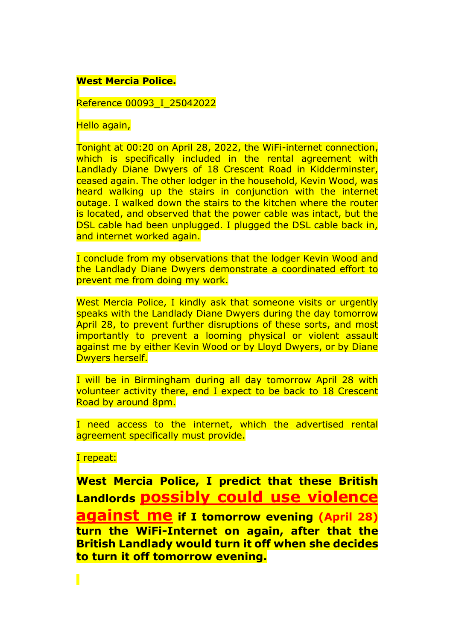## **West Mercia Police.**

Reference 00093\_I\_25042022

Hello again,

Tonight at 00:20 on April 28, 2022, the WiFi-internet connection, which is specifically included in the rental agreement with Landlady Diane Dwyers of 18 Crescent Road in Kidderminster, ceased again. The other lodger in the household, Kevin Wood, was heard walking up the stairs in conjunction with the internet outage. I walked down the stairs to the kitchen where the router is located, and observed that the power cable was intact, but the DSL cable had been unplugged. I plugged the DSL cable back in, and internet worked again.

I conclude from my observations that the lodger Kevin Wood and the Landlady Diane Dwyers demonstrate a coordinated effort to prevent me from doing my work.

West Mercia Police, I kindly ask that someone visits or urgently speaks with the Landlady Diane Dwyers during the day tomorrow April 28, to prevent further disruptions of these sorts, and most importantly to prevent a looming physical or violent assault against me by either Kevin Wood or by Lloyd Dwyers, or by Diane Dwyers herself.

I will be in Birmingham during all day tomorrow April 28 with volunteer activity there, end I expect to be back to 18 Crescent Road by around 8pm.

I need access to the internet, which the advertised rental agreement specifically must provide.

I repeat:

Π

**West Mercia Police, I predict that these British Landlords possibly could use violence against me if I tomorrow evening (April 28) turn the WiFi-Internet on again, after that the British Landlady would turn it off when she decides to turn it off tomorrow evening.**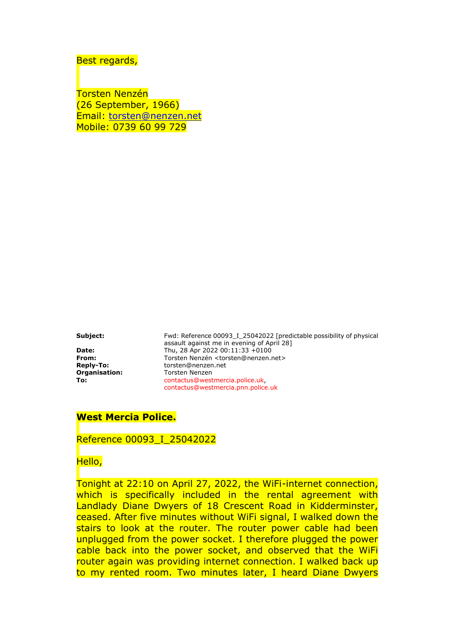Best regards,

Torsten Nenzén (26 September, 1966) Email: [torsten@nenzen.net](mailto:torsten@nenzen.net) Mobile: 0739 60 99 729

**Organisation: Torsten Nenzen** 

**Subject:** Fwd: Reference 00093\_I\_25042022 [predictable possibility of physical assault against me in evening of April 28] **Date:** Thu, 28 Apr 2022 00:11:33 +0100 **From: Torsten Nenzén <torsten@nenzen.net> Reply-To: The Constenancent Constenance Constenance Constenance Constenance Constenance Constenance Constenance Constenance Constellation Reply To Reply To Reply To Torsten Reply-To:** torsten@nenzen.net **To:** contactus@westmercia.police.uk, contactus@westmercia.pnn.police.uk

#### **West Mercia Police.**

Reference 00093\_I\_25042022

Hello,

Tonight at 22:10 on April 27, 2022, the WiFi-internet connection, which is specifically included in the rental agreement with Landlady Diane Dwyers of 18 Crescent Road in Kidderminster, ceased. After five minutes without WiFi signal, I walked down the stairs to look at the router. The router power cable had been unplugged from the power socket. I therefore plugged the power cable back into the power socket, and observed that the WiFi router again was providing internet connection. I walked back up to my rented room. Two minutes later, I heard Diane Dwyers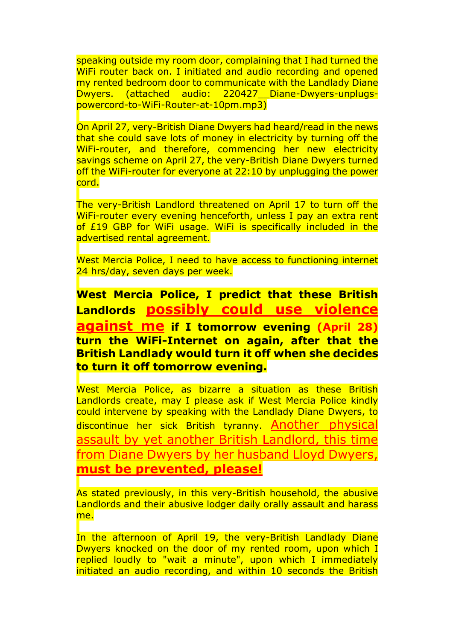speaking outside my room door, complaining that I had turned the WiFi router back on. I initiated and audio recording and opened my rented bedroom door to communicate with the Landlady Diane Dwyers. (attached audio: 220427\_\_Diane-Dwyers-unplugspowercord-to-WiFi-Router-at-10pm.mp3)

On April 27, very-British Diane Dwyers had heard/read in the news that she could save lots of money in electricity by turning off the WiFi-router, and therefore, commencing her new electricity savings scheme on April 27, the very-British Diane Dwyers turned off the WiFi-router for everyone at 22:10 by unplugging the power cord.

The very-British Landlord threatened on April 17 to turn off the WiFi-router every evening henceforth, unless I pay an extra rent of £19 GBP for WiFi usage. WiFi is specifically included in the advertised rental agreement.

West Mercia Police, I need to have access to functioning internet 24 hrs/day, seven days per week.

**West Mercia Police, I predict that these British Landlords possibly could use violence against me if I tomorrow evening (April 28) turn the WiFi-Internet on again, after that the British Landlady would turn it off when she decides to turn it off tomorrow evening.**

West Mercia Police, as bizarre a situation as these British Landlords create, may I please ask if West Mercia Police kindly could intervene by speaking with the Landlady Diane Dwyers, to discontinue her sick British tyranny. Another physical assault by yet another British Landlord, this time from Diane Dwyers by her husband Lloyd Dwyers, **must be prevented, please!**

As stated previously, in this very-British household, the abusive Landlords and their abusive lodger daily orally assault and harass me.

In the afternoon of April 19, the very-British Landlady Diane Dwyers knocked on the door of my rented room, upon which I replied loudly to "wait a minute", upon which I immediately initiated an audio recording, and within 10 seconds the British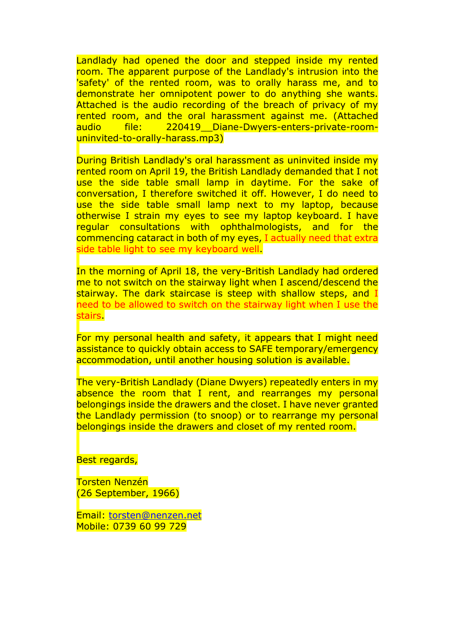Landlady had opened the door and stepped inside my rented room. The apparent purpose of the Landlady's intrusion into the 'safety' of the rented room, was to orally harass me, and to demonstrate her omnipotent power to do anything she wants. Attached is the audio recording of the breach of privacy of my rented room, and the oral harassment against me. (Attached audio file: 220419 Diane-Dwyers-enters-private-roomuninvited-to-orally-harass.mp3)

During British Landlady's oral harassment as uninvited inside my rented room on April 19, the British Landlady demanded that I not use the side table small lamp in daytime. For the sake of conversation, I therefore switched it off. However, I do need to use the side table small lamp next to my laptop, because otherwise I strain my eyes to see my laptop keyboard. I have regular consultations with ophthalmologists, and for the commencing cataract in both of my eyes, I actually need that extra side table light to see my keyboard well.

In the morning of April 18, the very-British Landlady had ordered me to not switch on the stairway light when I ascend/descend the stairway. The dark staircase is steep with shallow steps, and I need to be allowed to switch on the stairway light when I use the stairs.

For my personal health and safety, it appears that I might need assistance to quickly obtain access to SAFE temporary/emergency accommodation, until another housing solution is available.

The very-British Landlady (Diane Dwyers) repeatedly enters in my absence the room that I rent, and rearranges my personal belongings inside the drawers and the closet. I have never granted the Landlady permission (to snoop) or to rearrange my personal belongings inside the drawers and closet of my rented room.

Best regards,

Torsten Nenzén (26 September, 1966)

Email: [torsten@nenzen.net](mailto:torsten@nenzen.net) Mobile: 0739 60 99 729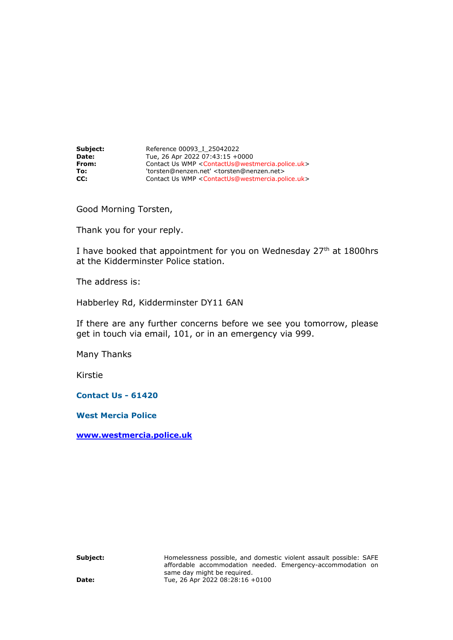**Subject:** Reference 00093\_I\_25042022 **Date:** Tue, 26 Apr 2022 07:43:15 +0000 **From:** Contact Us WMP <ContactUs@westmercia.police.uk> **To:** 'torsten@nenzen.net' <torsten@nenzen.net> **CC:** Contact Us WMP <ContactUs@westmercia.police.uk>

Good Morning Torsten,

Thank you for your reply.

I have booked that appointment for you on Wednesday 27<sup>th</sup> at 1800hrs at the Kidderminster Police station.

The address is:

Habberley Rd, Kidderminster DY11 6AN

If there are any further concerns before we see you tomorrow, please get in touch via email, 101, or in an emergency via 999.

Many Thanks

Kirstie

**Contact Us - 61420**

**West Mercia Police**

**[www.westmercia.police.uk](http://www.westmercia.police.uk/)**

**Subject:** Homelessness possible, and domestic violent assault possible: SAFE affordable accommodation needed. Emergency-accommodation on same day might be required. **Date:** Tue, 26 Apr 2022 08:28:16 +0100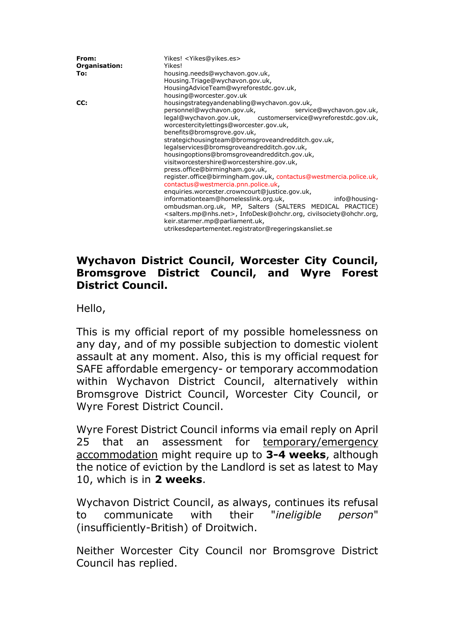| From:<br>Organisation:<br>To: | Yikes! <yikes@yikes.es><br/>Yikes!<br/>housing.needs@wychavon.gov.uk,<br/>Housing.Triage@wychavon.gov.uk,<br/>HousingAdviceTeam@wyreforestdc.gov.uk,<br/>housing@worcester.gov.uk</yikes@yikes.es>                                                                                                                                                                                                                                                                                                                                                                                                                                                                                                                                                                                                                                                                                                                                                              |
|-------------------------------|-----------------------------------------------------------------------------------------------------------------------------------------------------------------------------------------------------------------------------------------------------------------------------------------------------------------------------------------------------------------------------------------------------------------------------------------------------------------------------------------------------------------------------------------------------------------------------------------------------------------------------------------------------------------------------------------------------------------------------------------------------------------------------------------------------------------------------------------------------------------------------------------------------------------------------------------------------------------|
| CC:                           | housingstrategyandenabling@wychavon.gov.uk,<br>personnel@wychavon.gov.uk,<br>service@wychavon.gov.uk,<br>legal@wychavon.gov.uk, customerservice@wyreforestdc.gov.uk,<br>worcestercitylettings@worcester.gov.uk,<br>benefits@bromsgrove.gov.uk,<br>strategichousingteam@bromsgroveandredditch.gov.uk,<br>legalservices@bromsgroveandredditch.gov.uk,<br>housingoptions@bromsgroveandredditch.gov.uk,<br>visitworcestershire@worcestershire.gov.uk,<br>press.office@birmingham.gov.uk,<br>register.office@birmingham.gov.uk, contactus@westmercia.police.uk,<br>contactus@westmercia.pnn.police.uk,<br>enquiries.worcester.crowncourt@justice.gov.uk,<br>informationteam@homelesslink.org.uk,<br>info@housing-<br>ombudsman.org.uk, MP, Salters (SALTERS MEDICAL PRACTICE)<br><salters.mp@nhs.net>, InfoDesk@ohchr.org, civilsociety@ohchr.org,<br/>keir.starmer.mp@parliament.uk,<br/>utrikesdepartementet.registrator@regeringskansliet.se</salters.mp@nhs.net> |

# **Wychavon District Council, Worcester City Council, Bromsgrove District Council, and Wyre Forest District Council.**

Hello,

This is my official report of my possible homelessness on any day, and of my possible subjection to domestic violent assault at any moment. Also, this is my official request for SAFE affordable emergency- or temporary accommodation within Wychavon District Council, alternatively within Bromsgrove District Council, Worcester City Council, or Wyre Forest District Council.

Wyre Forest District Council informs via email reply on April 25 that an assessment for temporary/emergency accommodation might require up to **3-4 weeks**, although the notice of eviction by the Landlord is set as latest to May 10, which is in **2 weeks**.

Wychavon District Council, as always, continues its refusal to communicate with their "*ineligible person*" (insufficiently-British) of Droitwich.

Neither Worcester City Council nor Bromsgrove District Council has replied.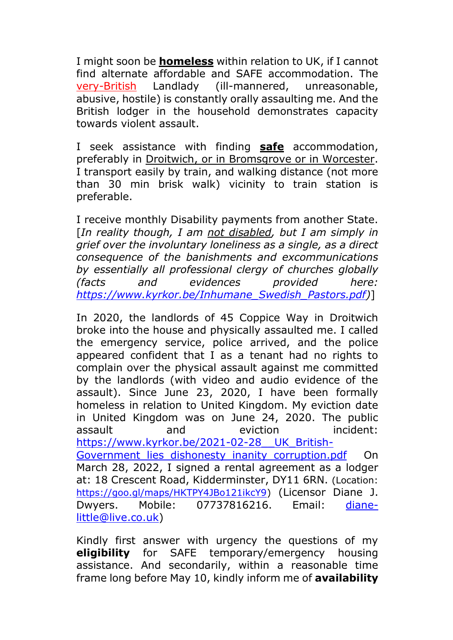I might soon be **homeless** within relation to UK, if I cannot find alternate affordable and SAFE accommodation. The very-British Landlady (ill-mannered, unreasonable, abusive, hostile) is constantly orally assaulting me. And the British lodger in the household demonstrates capacity towards violent assault.

I seek assistance with finding **safe** accommodation, preferably in Droitwich, or in Bromsgrove or in Worcester. I transport easily by train, and walking distance (not more than 30 min brisk walk) vicinity to train station is preferable.

I receive monthly Disability payments from another State. [*In reality though, I am not disabled, but I am simply in grief over the involuntary loneliness as a single, as a direct consequence of the banishments and excommunications by essentially all professional clergy of churches globally (facts and evidences provided here: [https://www.kyrkor.be/Inhumane\\_Swedish\\_Pastors.pdf\)](https://www.kyrkor.be/Inhumane_Swedish_Pastors.pdf)*]

In 2020, the landlords of 45 Coppice Way in Droitwich broke into the house and physically assaulted me. I called the emergency service, police arrived, and the police appeared confident that I as a tenant had no rights to complain over the physical assault against me committed by the landlords (with video and audio evidence of the assault). Since June 23, 2020, I have been formally homeless in relation to United Kingdom. My eviction date in United Kingdom was on June 24, 2020. The public assault and eviction incident: [https://www.kyrkor.be/2021-02-28\\_\\_UK\\_British-](https://www.kyrkor.be/2021-02-28__UK_British-Government_lies_dishonesty_inanity_corruption.pdf)Government lies dishonesty inanity corruption.pdf On March 28, 2022, I signed a rental agreement as a lodger at: 18 Crescent Road, Kidderminster, DY11 6RN. (Location: [https://goo.gl/maps/HKTPY4JBo121ikcY9\)](https://goo.gl/maps/HKTPY4JBo121ikcY9) (Licensor Diane J. Dwyers. Mobile: 07737816216. Email: [diane](mailto:diane-little@live.co.uk)[little@live.co.uk\)](mailto:diane-little@live.co.uk)

Kindly first answer with urgency the questions of my **eligibility** for SAFE temporary/emergency housing assistance. And secondarily, within a reasonable time frame long before May 10, kindly inform me of **availability**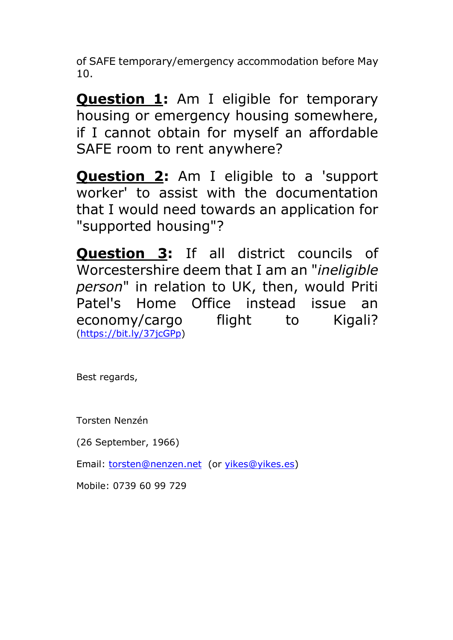of SAFE temporary/emergency accommodation before May 10.

**Question 1:** Am I eligible for temporary housing or emergency housing somewhere, if I cannot obtain for myself an affordable SAFE room to rent anywhere?

**Question 2:** Am I eligible to a 'support worker' to assist with the documentation that I would need towards an application for "supported housing"?

**Question 3:** If all district councils of Worcestershire deem that I am an "*ineligible person*" in relation to UK, then, would Priti Patel's Home Office instead issue an economy/cargo flight to Kigali? [\(https://bit.ly/37jcGPp\)](https://bit.ly/37jcGPp)

Best regards,

Torsten Nenzén

(26 September, 1966)

Email: [torsten@nenzen.net](mailto:torsten@nenzen.net) (or [yikes@yikes.es\)](mailto:yikes@yikes.es)

Mobile: 0739 60 99 729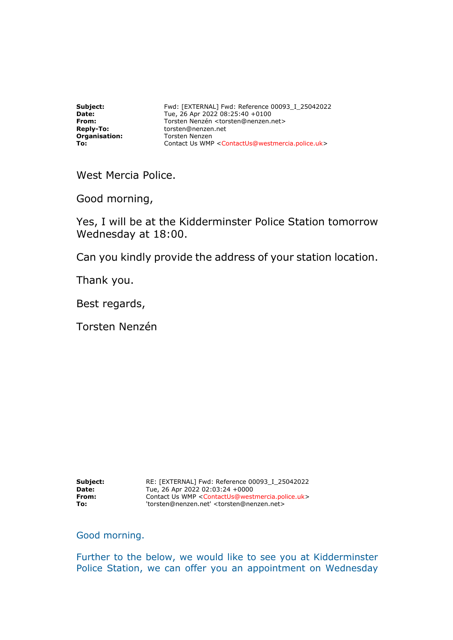**Organisation: Constended Proportion:**<br> **Organisation:** Torsten Nenzen

**Subject:** Fwd: [EXTERNAL] Fwd: Reference 00093\_I\_25042022<br> **Date:** Tue. 26 Apr 2022 08:25:40 +0100 **Date:** Tue, 26 Apr 2022 08:25:40 +0100<br> **From:** Torsten Nenzén <torsten@nenzen. **From: Torsten Nenzén <torsten@nenzen.net> Reply-To: CONFINENTIAL CONFINENTIAL CONFINENTIAL CONFINENTIAL CONFINENTIAL CONFINENTIAL CONFINENTIAL CONFINENTIAL CONFINENTIAL CONFINENTIAL CONFINENTIAL CONFINENTIAL CONFINE Reply-To:** torsten@nenzen.net **To:** Contact Us WMP <ContactUs@westmercia.police.uk>

West Mercia Police.

Good morning,

Yes, I will be at the Kidderminster Police Station tomorrow Wednesday at 18:00.

Can you kindly provide the address of your station location.

Thank you.

Best regards,

Torsten Nenzén

**Subject:** RE: [EXTERNAL] Fwd: Reference 00093\_I\_25042022 **Date:** Tue, 26 Apr 2022 02:03:24 +0000 **From:**  $\begin{array}{c} \text{Constanted} \\ \text{Constanted} \end{array}$   $\begin{array}{c} \text{Constanted} \\ \text{Constanted} \end{array}$ **To:** 'torsten@nenzen.net' <torsten@nenzen.net>

Good morning.

Further to the below, we would like to see you at Kidderminster Police Station, we can offer you an appointment on Wednesday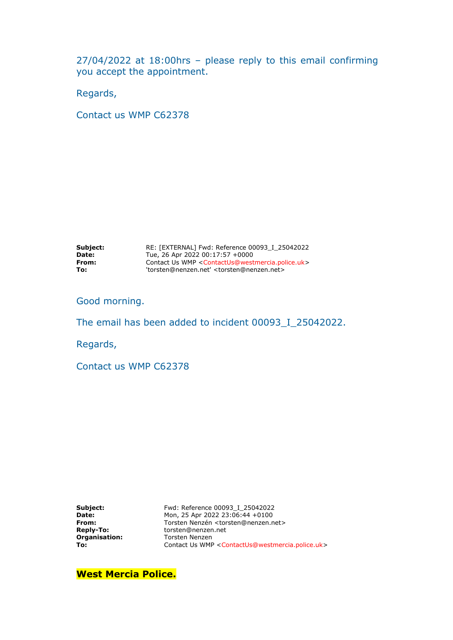27/04/2022 at 18:00hrs – please reply to this email confirming you accept the appointment.

Regards,

Contact us WMP C62378

| Subject:     | RE: [EXTERNAL] Fwd: Reference 00093 I 25042022                 |
|--------------|----------------------------------------------------------------|
| <b>Date:</b> | Tue, 26 Apr 2022 00:17:57 +0000                                |
| From:        | Contact Us WMP < ContactUs@westmercia.police.uk>               |
| To:          | 'torsten@nenzen.net' <torsten@nenzen.net></torsten@nenzen.net> |

Good morning.

The email has been added to incident 00093\_I\_25042022.

Regards,

Contact us WMP C62378

| Subject:         |
|------------------|
| Date:            |
| From:            |
| <b>Reply-To:</b> |
| Organisation:    |
| To:              |

**Subject:** Fwd: Reference 00093\_I\_25042022 **Date:** Mon, 25 Apr 2022 23:06:44 +0100 **From:** Torsten Nenzén <torsten@nenzen.net> **Reply-To:** torsten@nenzen.net **Torsten Nenzen** Contact Us WMP <ContactUs@westmercia.police.uk>

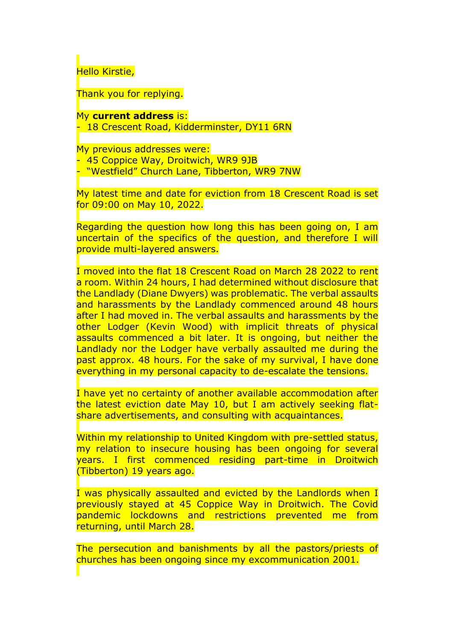Hello Kirstie,

Thank you for replying.

My **current address** is: 18 Crescent Road, Kidderminster, DY11 6RN

My previous addresses were: 45 Coppice Way, Droitwich, WR9 9JB - "Westfield" Church Lane, Tibberton, WR9 7NW

My latest time and date for eviction from 18 Crescent Road is set for 09:00 on May 10, 2022.

Regarding the question how long this has been going on, I am uncertain of the specifics of the question, and therefore I will provide multi-layered answers.

I moved into the flat 18 Crescent Road on March 28 2022 to rent a room. Within 24 hours, I had determined without disclosure that the Landlady (Diane Dwyers) was problematic. The verbal assaults and harassments by the Landlady commenced around 48 hours after I had moved in. The verbal assaults and harassments by the other Lodger (Kevin Wood) with implicit threats of physical assaults commenced a bit later. It is ongoing, but neither the Landlady nor the Lodger have verbally assaulted me during the past approx. 48 hours. For the sake of my survival, I have done everything in my personal capacity to de-escalate the tensions.

I have yet no certainty of another available accommodation after the latest eviction date May 10, but I am actively seeking flatshare advertisements, and consulting with acquaintances.

Within my relationship to United Kingdom with pre-settled status, my relation to insecure housing has been ongoing for several years. I first commenced residing part-time in Droitwich (Tibberton) 19 years ago.

I was physically assaulted and evicted by the Landlords when I previously stayed at 45 Coppice Way in Droitwich. The Covid pandemic lockdowns and restrictions prevented me from returning, until March 28.

The persecution and banishments by all the pastors/priests of churches has been ongoing since my excommunication 2001.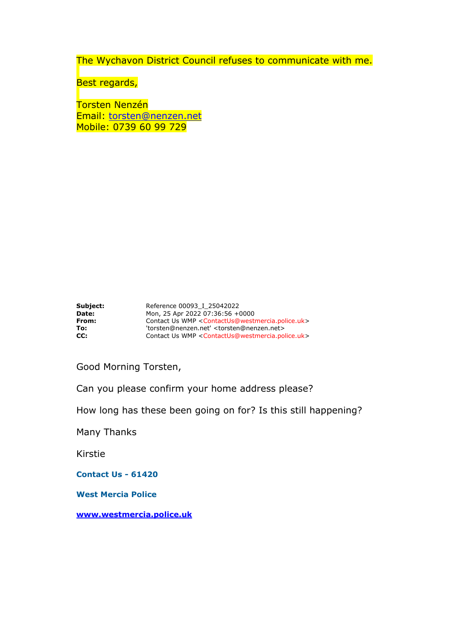The Wychavon District Council refuses to communicate with me.

Best regards,

Torsten Nenzén Email: [torsten@nenzen.net](mailto:torsten@nenzen.net) Mobile: 0739 60 99 729

| Subject:     | Reference 00093 I 25042022                                                       |
|--------------|----------------------------------------------------------------------------------|
| <b>Date:</b> | Mon, 25 Apr 2022 07:36:56 +0000                                                  |
| From:        | Contact Us WMP <contactus@westmercia.police.uk></contactus@westmercia.police.uk> |
| To:          | 'torsten@nenzen.net' <torsten@nenzen.net></torsten@nenzen.net>                   |
| CC:          | Contact Us WMP < ContactUs@westmercia.police.uk>                                 |

Good Morning Torsten,

Can you please confirm your home address please?

How long has these been going on for? Is this still happening?

Many Thanks

Kirstie

**Contact Us - 61420**

**West Mercia Police**

**[www.westmercia.police.uk](http://www.westmercia.police.uk/)**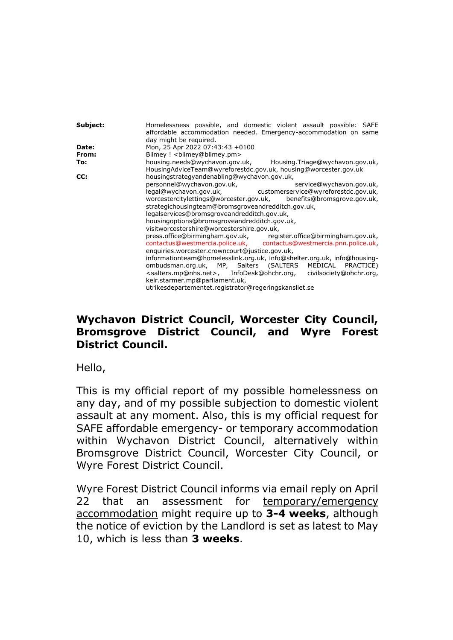| Subject: | Homelessness possible, and domestic violent assault possible: SAFE                     |
|----------|----------------------------------------------------------------------------------------|
|          | affordable accommodation needed. Emergency-accommodation on same                       |
|          | day might be required.                                                                 |
| Date:    | Mon, 25 Apr 2022 07:43:43 +0100                                                        |
| From:    | Blimey ! <blimey@blimey.pm></blimey@blimey.pm>                                         |
| To:      | housing.needs@wychavon.gov.uk, Housing.Triage@wychavon.gov.uk,                         |
|          | HousingAdviceTeam@wyreforestdc.gov.uk, housing@worcester.gov.uk                        |
| CC:      | housingstrategyandenabling@wychavon.gov.uk,                                            |
|          | personnel@wychavon.gov.uk,<br>service@wychavon.gov.uk,                                 |
|          |                                                                                        |
|          | legal@wychavon.gov.uk, customerservice@wyreforestdc.gov.uk,                            |
|          | worcestercitylettings@worcester.gov.uk, benefits@bromsgrove.gov.uk,                    |
|          | strategichousingteam@bromsgroveandredditch.gov.uk,                                     |
|          | legalservices@bromsgroveandredditch.gov.uk,                                            |
|          | housingoptions@bromsgroveandredditch.gov.uk,                                           |
|          |                                                                                        |
|          | visitworcestershire@worcestershire.gov.uk,                                             |
|          | press.office@birmingham.gov.uk, register.office@birmingham.gov.uk,                     |
|          | contactus@westmercia.police.uk, contactus@westmercia.pnn.police.uk,                    |
|          | enquiries.worcester.crowncourt@justice.gov.uk,                                         |
|          | informationteam@homelesslink.org.uk, info@shelter.org.uk, info@housing-                |
|          | ombudsman.org.uk, MP, Salters (SALTERS MEDICAL PRACTICE)                               |
|          |                                                                                        |
|          | <salters.mp@nhs.net>, InfoDesk@ohchr.org, civilsociety@ohchr.org,</salters.mp@nhs.net> |
|          | keir.starmer.mp@parliament.uk,                                                         |
|          | utrikesdepartementet.registrator@regeringskansliet.se                                  |

## **Wychavon District Council, Worcester City Council, Bromsgrove District Council, and Wyre Forest District Council.**

Hello,

This is my official report of my possible homelessness on any day, and of my possible subjection to domestic violent assault at any moment. Also, this is my official request for SAFE affordable emergency- or temporary accommodation within Wychavon District Council, alternatively within Bromsgrove District Council, Worcester City Council, or Wyre Forest District Council.

Wyre Forest District Council informs via email reply on April 22 that an assessment for temporary/emergency accommodation might require up to **3-4 weeks**, although the notice of eviction by the Landlord is set as latest to May 10, which is less than **3 weeks**.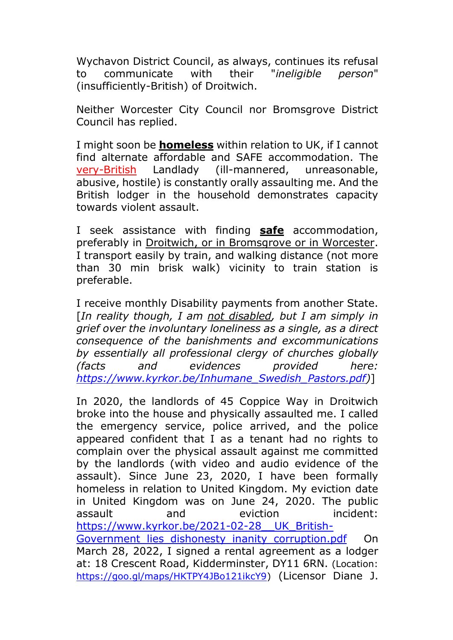Wychavon District Council, as always, continues its refusal to communicate with their "*ineligible person*" (insufficiently-British) of Droitwich.

Neither Worcester City Council nor Bromsgrove District Council has replied.

I might soon be **homeless** within relation to UK, if I cannot find alternate affordable and SAFE accommodation. The very-British Landlady (ill-mannered, unreasonable, abusive, hostile) is constantly orally assaulting me. And the British lodger in the household demonstrates capacity towards violent assault.

I seek assistance with finding **safe** accommodation, preferably in Droitwich, or in Bromsgrove or in Worcester. I transport easily by train, and walking distance (not more than 30 min brisk walk) vicinity to train station is preferable.

I receive monthly Disability payments from another State. [*In reality though, I am not disabled, but I am simply in grief over the involuntary loneliness as a single, as a direct consequence of the banishments and excommunications by essentially all professional clergy of churches globally (facts and evidences provided here: [https://www.kyrkor.be/Inhumane\\_Swedish\\_Pastors.pdf\)](https://www.kyrkor.be/Inhumane_Swedish_Pastors.pdf)*]

In 2020, the landlords of 45 Coppice Way in Droitwich broke into the house and physically assaulted me. I called the emergency service, police arrived, and the police appeared confident that I as a tenant had no rights to complain over the physical assault against me committed by the landlords (with video and audio evidence of the assault). Since June 23, 2020, I have been formally homeless in relation to United Kingdom. My eviction date in United Kingdom was on June 24, 2020. The public assault and eviction incident: [https://www.kyrkor.be/2021-02-28\\_\\_UK\\_British-](https://www.kyrkor.be/2021-02-28__UK_British-Government_lies_dishonesty_inanity_corruption.pdf)Government lies dishonesty inanity corruption.pdf On March 28, 2022, I signed a rental agreement as a lodger at: 18 Crescent Road, Kidderminster, DY11 6RN. (Location: [https://goo.gl/maps/HKTPY4JBo121ikcY9\)](https://goo.gl/maps/HKTPY4JBo121ikcY9) (Licensor Diane J.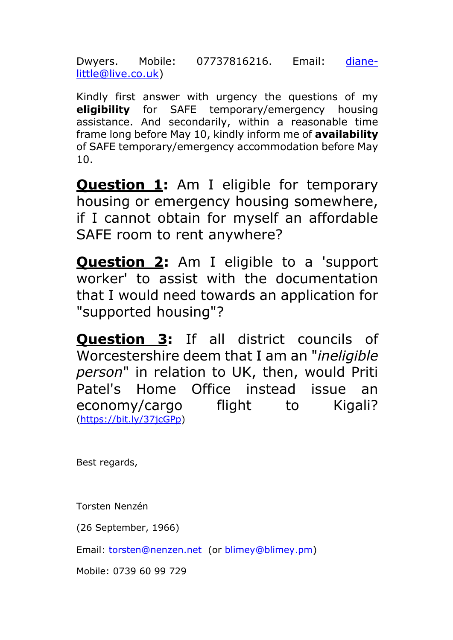Dwyers. Mobile: 07737816216. Email: [diane](mailto:diane-little@live.co.uk)[little@live.co.uk\)](mailto:diane-little@live.co.uk)

Kindly first answer with urgency the questions of my **eligibility** for SAFE temporary/emergency housing assistance. And secondarily, within a reasonable time frame long before May 10, kindly inform me of **availability** of SAFE temporary/emergency accommodation before May 10.

**Question 1:** Am I eligible for temporary housing or emergency housing somewhere, if I cannot obtain for myself an affordable SAFE room to rent anywhere?

**Question 2:** Am I eligible to a 'support worker' to assist with the documentation that I would need towards an application for "supported housing"?

**Question 3:** If all district councils of Worcestershire deem that I am an "*ineligible person*" in relation to UK, then, would Priti Patel's Home Office instead issue an economy/cargo flight to Kigali? [\(https://bit.ly/37jcGPp\)](https://bit.ly/37jcGPp)

Best regards,

Torsten Nenzén

(26 September, 1966)

Email: [torsten@nenzen.net](mailto:torsten@nenzen.net) (or [blimey@blimey.pm\)](mailto:blimey@blimey.pm)

Mobile: 0739 60 99 729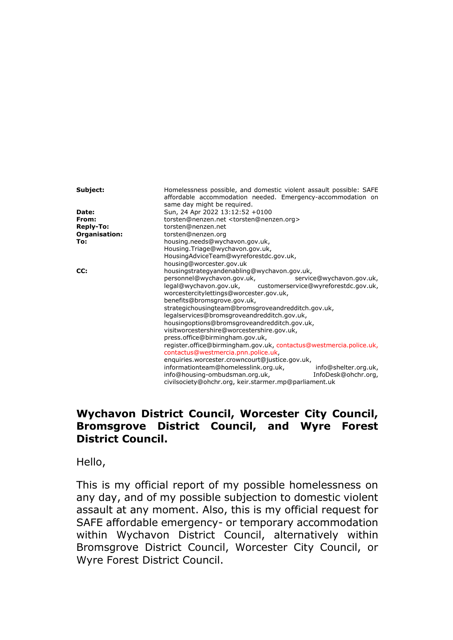| Subject:         | Homelessness possible, and domestic violent assault possible: SAFE<br>affordable accommodation needed. Emergency-accommodation on                                                                                                  |                          |  |
|------------------|------------------------------------------------------------------------------------------------------------------------------------------------------------------------------------------------------------------------------------|--------------------------|--|
| Date:            | same day might be required.<br>Sun, 24 Apr 2022 13:12:52 +0100                                                                                                                                                                     |                          |  |
|                  |                                                                                                                                                                                                                                    |                          |  |
| From:            | torsten@nenzen.net <torsten@nenzen.org></torsten@nenzen.org>                                                                                                                                                                       |                          |  |
| <b>Reply-To:</b> | torsten@nenzen.net                                                                                                                                                                                                                 |                          |  |
| Organisation:    | torsten@nenzen.org                                                                                                                                                                                                                 |                          |  |
| To:              | housing.needs@wychavon.gov.uk,                                                                                                                                                                                                     |                          |  |
|                  | Housing.Triage@wychavon.gov.uk,                                                                                                                                                                                                    |                          |  |
|                  | HousingAdviceTeam@wyreforestdc.gov.uk,                                                                                                                                                                                             |                          |  |
|                  | housing@worcester.gov.uk                                                                                                                                                                                                           |                          |  |
| CC:              | housingstrategyandenabling@wychavon.gov.uk,                                                                                                                                                                                        |                          |  |
|                  | personnel@wychavon.gov.uk,                                                                                                                                                                                                         | service@wychavon.gov.uk, |  |
|                  | legal@wychavon.gov.uk, customerservice@wyreforestdc.gov.uk,                                                                                                                                                                        |                          |  |
|                  | worcestercitylettings@worcester.gov.uk,                                                                                                                                                                                            |                          |  |
|                  | benefits@bromsgrove.gov.uk,                                                                                                                                                                                                        |                          |  |
|                  | strategichousingteam@bromsgroveandredditch.gov.uk,<br>legalservices@bromsgroveandredditch.gov.uk,<br>housingoptions@bromsgroveandredditch.gov.uk,<br>visitworcestershire@worcestershire.gov.uk,<br>press.office@birmingham.gov.uk, |                          |  |
|                  |                                                                                                                                                                                                                                    |                          |  |
|                  |                                                                                                                                                                                                                                    |                          |  |
|                  |                                                                                                                                                                                                                                    |                          |  |
|                  |                                                                                                                                                                                                                                    |                          |  |
|                  |                                                                                                                                                                                                                                    |                          |  |
|                  | register.office@birmingham.gov.uk, contactus@westmercia.police.uk,<br>contactus@westmercia.pnn.police.uk,                                                                                                                          |                          |  |
|                  |                                                                                                                                                                                                                                    |                          |  |
|                  | enquiries.worcester.crowncourt@justice.gov.uk,                                                                                                                                                                                     |                          |  |
|                  | informationteam@homelesslink.org.uk,                                                                                                                                                                                               | info@shelter.org.uk,     |  |
|                  | info@housing-ombudsman.org.uk,                                                                                                                                                                                                     | InfoDesk@ohchr.org,      |  |
|                  | civilsociety@ohchr.org, keir.starmer.mp@parliament.uk                                                                                                                                                                              |                          |  |

## **Wychavon District Council, Worcester City Council, Bromsgrove District Council, and Wyre Forest District Council.**

Hello,

This is my official report of my possible homelessness on any day, and of my possible subjection to domestic violent assault at any moment. Also, this is my official request for SAFE affordable emergency- or temporary accommodation within Wychavon District Council, alternatively within Bromsgrove District Council, Worcester City Council, or Wyre Forest District Council.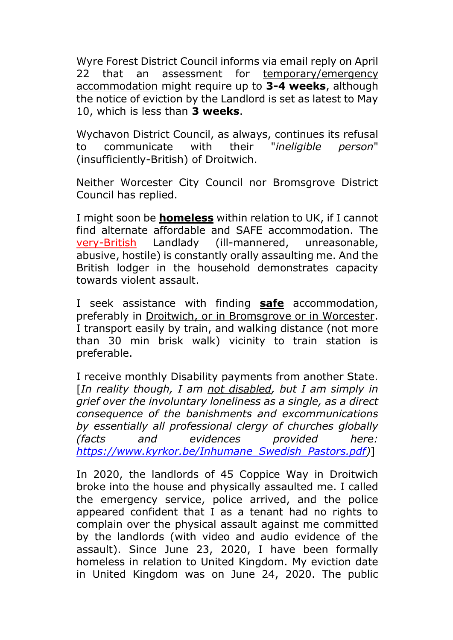Wyre Forest District Council informs via email reply on April 22 that an assessment for temporary/emergency accommodation might require up to **3-4 weeks**, although the notice of eviction by the Landlord is set as latest to May 10, which is less than **3 weeks**.

Wychavon District Council, as always, continues its refusal to communicate with their "*ineligible person*" (insufficiently-British) of Droitwich.

Neither Worcester City Council nor Bromsgrove District Council has replied.

I might soon be **homeless** within relation to UK, if I cannot find alternate affordable and SAFE accommodation. The very-British Landlady (ill-mannered, unreasonable, abusive, hostile) is constantly orally assaulting me. And the British lodger in the household demonstrates capacity towards violent assault.

I seek assistance with finding **safe** accommodation, preferably in Droitwich, or in Bromsgrove or in Worcester. I transport easily by train, and walking distance (not more than 30 min brisk walk) vicinity to train station is preferable.

I receive monthly Disability payments from another State. [*In reality though, I am not disabled, but I am simply in grief over the involuntary loneliness as a single, as a direct consequence of the banishments and excommunications by essentially all professional clergy of churches globally (facts and evidences provided here: [https://www.kyrkor.be/Inhumane\\_Swedish\\_Pastors.pdf\)](https://www.kyrkor.be/Inhumane_Swedish_Pastors.pdf)*]

In 2020, the landlords of 45 Coppice Way in Droitwich broke into the house and physically assaulted me. I called the emergency service, police arrived, and the police appeared confident that I as a tenant had no rights to complain over the physical assault against me committed by the landlords (with video and audio evidence of the assault). Since June 23, 2020, I have been formally homeless in relation to United Kingdom. My eviction date in United Kingdom was on June 24, 2020. The public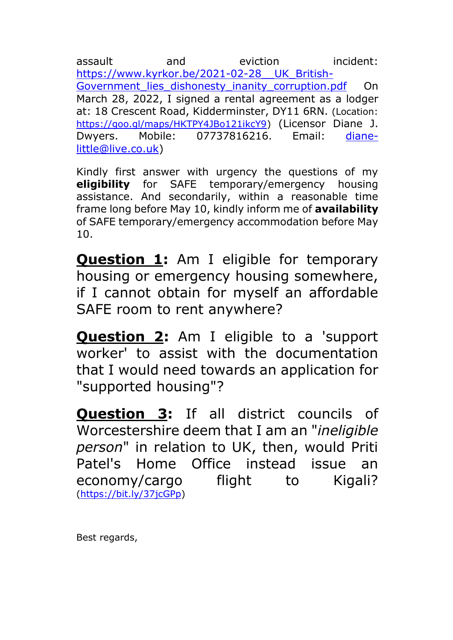assault and eviction incident: [https://www.kyrkor.be/2021-02-28\\_\\_UK\\_British-](https://www.kyrkor.be/2021-02-28__UK_British-Government_lies_dishonesty_inanity_corruption.pdf)Government lies dishonesty inanity corruption.pdf On March 28, 2022, I signed a rental agreement as a lodger at: 18 Crescent Road, Kidderminster, DY11 6RN. (Location: [https://goo.gl/maps/HKTPY4JBo121ikcY9\)](https://goo.gl/maps/HKTPY4JBo121ikcY9) (Licensor Diane J. Dwyers. Mobile: 07737816216. Email: [diane](mailto:diane-little@live.co.uk)[little@live.co.uk\)](mailto:diane-little@live.co.uk)

Kindly first answer with urgency the questions of my **eligibility** for SAFE temporary/emergency housing assistance. And secondarily, within a reasonable time frame long before May 10, kindly inform me of **availability** of SAFE temporary/emergency accommodation before May  $10<sub>1</sub>$ 

**Question 1:** Am I eligible for temporary housing or emergency housing somewhere, if I cannot obtain for myself an affordable SAFE room to rent anywhere?

**Question 2:** Am I eligible to a 'support worker' to assist with the documentation that I would need towards an application for "supported housing"?

**Question 3:** If all district councils of Worcestershire deem that I am an "*ineligible person*" in relation to UK, then, would Priti Patel's Home Office instead issue an economy/cargo flight to Kigali? [\(https://bit.ly/37jcGPp\)](https://bit.ly/37jcGPp)

Best regards,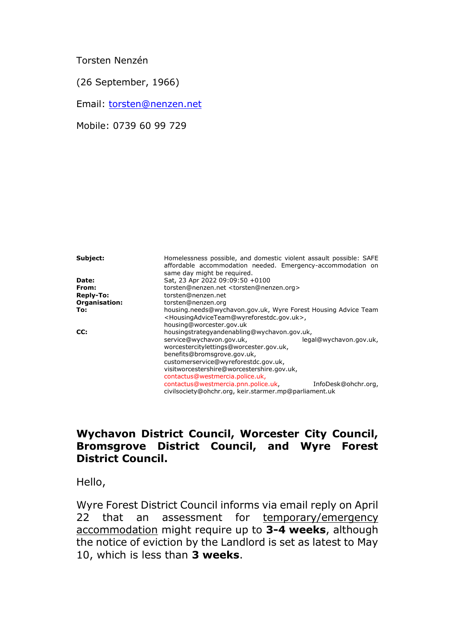Torsten Nenzén

(26 September, 1966)

Email: [torsten@nenzen.net](mailto:torsten@nenzen.net)

Mobile: 0739 60 99 729

| Subject:         | Homelessness possible, and domestic violent assault possible: SAFE<br>affordable accommodation needed. Emergency-accommodation on<br>same day might be required.                                                            |                        |  |
|------------------|-----------------------------------------------------------------------------------------------------------------------------------------------------------------------------------------------------------------------------|------------------------|--|
| Date:            | Sat, 23 Apr 2022 09:09:50 +0100                                                                                                                                                                                             |                        |  |
| From:            | torsten@nenzen.net <torsten@nenzen.org></torsten@nenzen.org>                                                                                                                                                                |                        |  |
| <b>Reply-To:</b> | torsten@nenzen.net                                                                                                                                                                                                          |                        |  |
| Organisation:    | torsten@nenzen.org                                                                                                                                                                                                          |                        |  |
| To:              | housing needs@wychavon.gov.uk, Wyre Forest Housing Advice Team<br><housingadviceteam@wyreforestdc.gov.uk>,<br/>housing@worcester.gov.uk</housingadviceteam@wyreforestdc.gov.uk>                                             |                        |  |
| CC:              | housingstrategyandenabling@wychavon.gov.uk,                                                                                                                                                                                 |                        |  |
|                  | service@wychavon.gov.uk,<br>worcestercitylettings@worcester.gov.uk,<br>benefits@bromsgrove.gov.uk,<br>customerservice@wyreforestdc.gov.uk,<br>visitworcestershire@worcestershire.gov.uk,<br>contactus@westmercia.police.uk, | legal@wychavon.gov.uk, |  |
|                  | contactus@westmercia.pnn.police.uk<br>civilsociety@ohchr.org, keir.starmer.mp@parliament.uk                                                                                                                                 | InfoDesk@ohchr.org,    |  |

## **Wychavon District Council, Worcester City Council, Bromsgrove District Council, and Wyre Forest District Council.**

Hello,

Wyre Forest District Council informs via email reply on April 22 that an assessment for temporary/emergency accommodation might require up to **3-4 weeks**, although the notice of eviction by the Landlord is set as latest to May 10, which is less than **3 weeks**.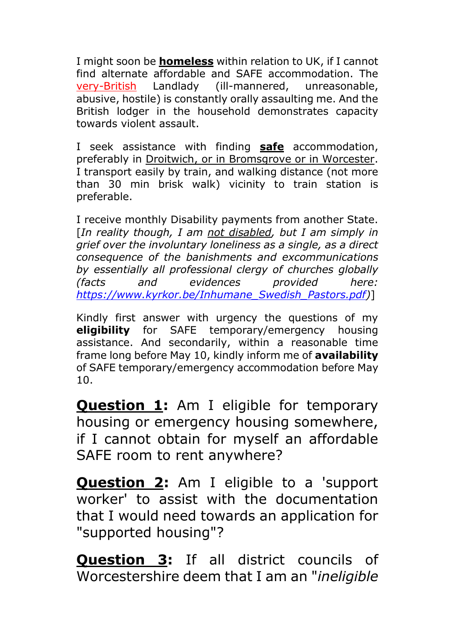I might soon be **homeless** within relation to UK, if I cannot find alternate affordable and SAFE accommodation. The very-British Landlady (ill-mannered, unreasonable, abusive, hostile) is constantly orally assaulting me. And the British lodger in the household demonstrates capacity towards violent assault.

I seek assistance with finding **safe** accommodation, preferably in Droitwich, or in Bromsgrove or in Worcester. I transport easily by train, and walking distance (not more than 30 min brisk walk) vicinity to train station is preferable.

I receive monthly Disability payments from another State. [*In reality though, I am not disabled, but I am simply in grief over the involuntary loneliness as a single, as a direct consequence of the banishments and excommunications by essentially all professional clergy of churches globally (facts and evidences provided here: [https://www.kyrkor.be/Inhumane\\_Swedish\\_Pastors.pdf\)](https://www.kyrkor.be/Inhumane_Swedish_Pastors.pdf)*]

Kindly first answer with urgency the questions of my **eligibility** for SAFE temporary/emergency housing assistance. And secondarily, within a reasonable time frame long before May 10, kindly inform me of **availability** of SAFE temporary/emergency accommodation before May 10.

**Question 1:** Am I eligible for temporary housing or emergency housing somewhere, if I cannot obtain for myself an affordable SAFE room to rent anywhere?

**Question 2:** Am I eligible to a 'support worker' to assist with the documentation that I would need towards an application for "supported housing"?

**Question 3:** If all district councils of Worcestershire deem that I am an "*ineligible*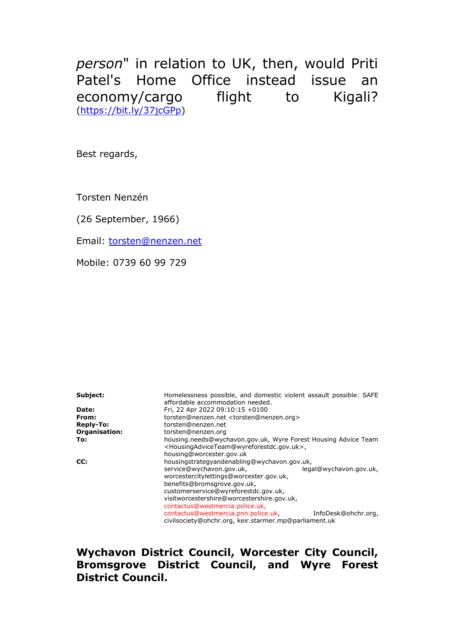*person*" in relation to UK, then, would Priti Patel's Home Office instead issue an economy/cargo flight to Kigali? [\(https://bit.ly/37jcGPp\)](https://bit.ly/37jcGPp)

Best regards,

Torsten Nenzén

(26 September, 1966)

Email: [torsten@nenzen.net](mailto:torsten@nenzen.net)

Mobile: 0739 60 99 729

**Subject: Homelessness possible, and domestic violent assault possible: SAFE** affordable accommodation needed. **Date:** Fri, 22 Apr 2022 09:10:15 +0100 **From:** torsten@nenzen.net <torsten@nenzen.org> **Reply-To:** torsten@nenzen.net **Organisation:** torsten@nenzen.org **To:** housing.needs@wychavon.gov.uk, Wyre Forest Housing Advice Team <HousingAdviceTeam@wyreforestdc.gov.uk>, housing@worcester.gov.uk **CC:** housingstrategyandenabling@wychavon.gov.uk, service@wychavon.gov.uk, legal@wychavon.gov.uk, worcestercitylettings@worcester.gov.uk, benefits@bromsgrove.gov.uk, customerservice@wyreforestdc.gov.uk, visitworcestershire@worcestershire.gov.uk, contactus@westmercia.police.uk, contactus@westmercia.pnn.police.uk, InfoDesk@ohchr.org, civilsociety@ohchr.org, keir.starmer.mp@parliament.uk

**Wychavon District Council, Worcester City Council, Bromsgrove District Council, and Wyre Forest District Council.**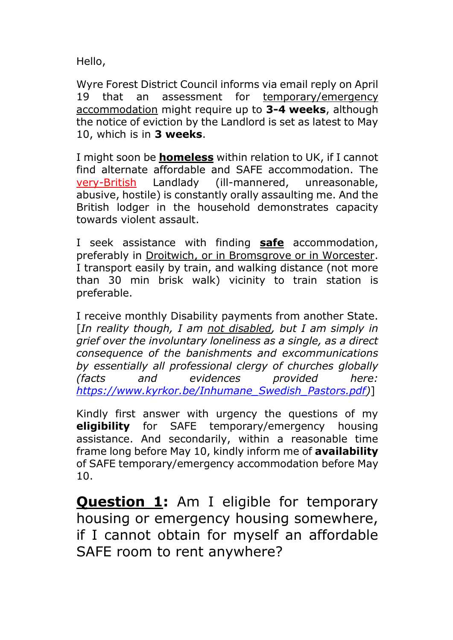Hello,

Wyre Forest District Council informs via email reply on April 19 that an assessment for temporary/emergency accommodation might require up to **3-4 weeks**, although the notice of eviction by the Landlord is set as latest to May 10, which is in **3 weeks**.

I might soon be **homeless** within relation to UK, if I cannot find alternate affordable and SAFE accommodation. The very-British Landlady (ill-mannered, unreasonable, abusive, hostile) is constantly orally assaulting me. And the British lodger in the household demonstrates capacity towards violent assault.

I seek assistance with finding **safe** accommodation, preferably in Droitwich, or in Bromsgrove or in Worcester. I transport easily by train, and walking distance (not more than 30 min brisk walk) vicinity to train station is preferable.

I receive monthly Disability payments from another State. [*In reality though, I am not disabled, but I am simply in grief over the involuntary loneliness as a single, as a direct consequence of the banishments and excommunications by essentially all professional clergy of churches globally (facts and evidences provided here: [https://www.kyrkor.be/Inhumane\\_Swedish\\_Pastors.pdf\)](https://www.kyrkor.be/Inhumane_Swedish_Pastors.pdf)*]

Kindly first answer with urgency the questions of my **eligibility** for SAFE temporary/emergency housing assistance. And secondarily, within a reasonable time frame long before May 10, kindly inform me of **availability** of SAFE temporary/emergency accommodation before May 10.

**Question 1:** Am I eligible for temporary housing or emergency housing somewhere, if I cannot obtain for myself an affordable SAFE room to rent anywhere?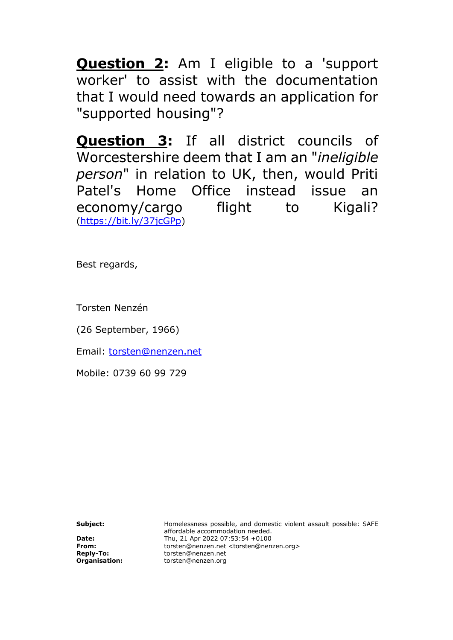**Question 2:** Am I eligible to a 'support worker' to assist with the documentation that I would need towards an application for "supported housing"?

**Question 3:** If all district councils of Worcestershire deem that I am an "*ineligible person*" in relation to UK, then, would Priti Patel's Home Office instead issue an economy/cargo flight to Kigali? [\(https://bit.ly/37jcGPp\)](https://bit.ly/37jcGPp)

Best regards,

Torsten Nenzén

(26 September, 1966)

Email: [torsten@nenzen.net](mailto:torsten@nenzen.net)

Mobile: 0739 60 99 729

**Subject: Homelessness possible, and domestic violent assault possible: SAFE** affordable accommodation needed. **Date:** Thu, 21 Apr 2022 07:53:54 +0100<br> **From:** torsten@nenzen.net <torsten@nen **From:** torsten@nenzen.net <torsten@nenzen.org> **Reply-To:** torsten@nenzen.net **Organisation:** torsten@nenzen.org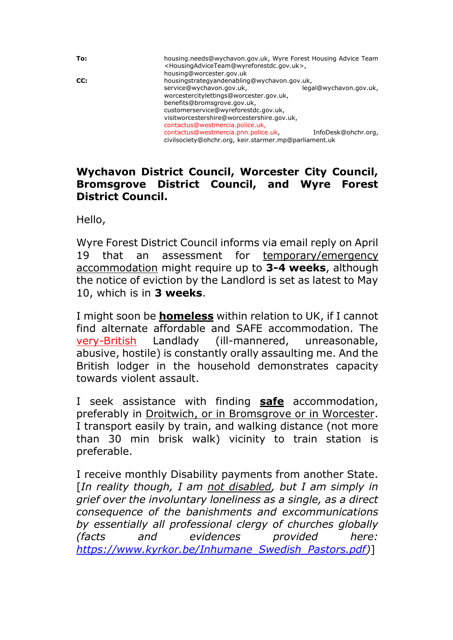**To:** housing.needs@wychavon.gov.uk, Wyre Forest Housing Advice Team <HousingAdviceTeam@wyreforestdc.gov.uk>, housing@worcester.gov.uk **CC:** housingstrategyandenabling@wychavon.gov.uk, service@wychavon.gov.uk, legal@wychavon.gov.uk, worcestercitylettings@worcester.gov.uk, benefits@bromsgrove.gov.uk, customerservice@wyreforestdc.gov.uk, visitworcestershire@worcestershire.gov.uk, contactus@westmercia.police.uk, contactus@westmercia.pnn.police.uk, InfoDesk@ohchr.org, civilsociety@ohchr.org, keir.starmer.mp@parliament.uk

## **Wychavon District Council, Worcester City Council, Bromsgrove District Council, and Wyre Forest District Council.**

Hello,

Wyre Forest District Council informs via email reply on April 19 that an assessment for temporary/emergency accommodation might require up to **3-4 weeks**, although the notice of eviction by the Landlord is set as latest to May 10, which is in **3 weeks**.

I might soon be **homeless** within relation to UK, if I cannot find alternate affordable and SAFE accommodation. The very-British Landlady (ill-mannered, unreasonable, abusive, hostile) is constantly orally assaulting me. And the British lodger in the household demonstrates capacity towards violent assault.

I seek assistance with finding **safe** accommodation, preferably in Droitwich, or in Bromsgrove or in Worcester. I transport easily by train, and walking distance (not more than 30 min brisk walk) vicinity to train station is preferable.

I receive monthly Disability payments from another State. [*In reality though, I am not disabled, but I am simply in grief over the involuntary loneliness as a single, as a direct consequence of the banishments and excommunications by essentially all professional clergy of churches globally (facts and evidences provided here: [https://www.kyrkor.be/Inhumane\\_Swedish\\_Pastors.pdf\)](https://www.kyrkor.be/Inhumane_Swedish_Pastors.pdf)*]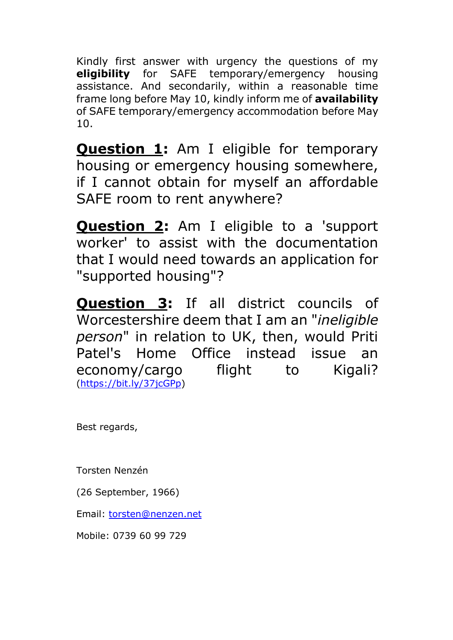Kindly first answer with urgency the questions of my **eligibility** for SAFE temporary/emergency housing assistance. And secondarily, within a reasonable time frame long before May 10, kindly inform me of **availability** of SAFE temporary/emergency accommodation before May 10.

**Question 1:** Am I eligible for temporary housing or emergency housing somewhere, if I cannot obtain for myself an affordable SAFE room to rent anywhere?

**Question 2:** Am I eligible to a 'support worker' to assist with the documentation that I would need towards an application for "supported housing"?

**Question 3:** If all district councils of Worcestershire deem that I am an "*ineligible person*" in relation to UK, then, would Priti Patel's Home Office instead issue an economy/cargo flight to Kigali? [\(https://bit.ly/37jcGPp\)](https://bit.ly/37jcGPp)

Best regards,

Torsten Nenzén

(26 September, 1966)

Email: [torsten@nenzen.net](mailto:torsten@nenzen.net)

Mobile: 0739 60 99 729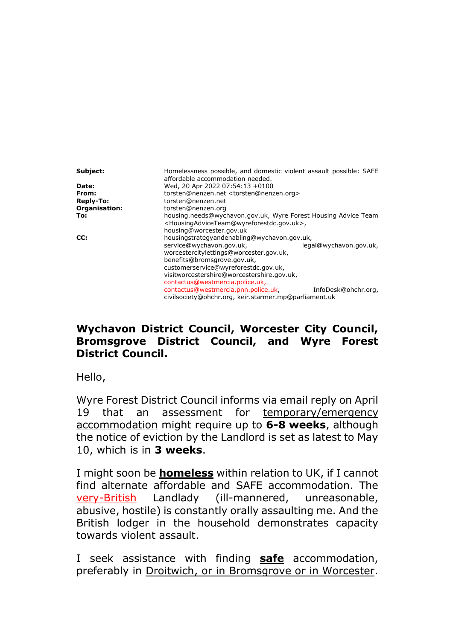| Subject:         | Homelessness possible, and domestic violent assault possible: SAFE<br>affordable accommodation needed.                                                                                                                                                |  |  |
|------------------|-------------------------------------------------------------------------------------------------------------------------------------------------------------------------------------------------------------------------------------------------------|--|--|
| Date:            | Wed, 20 Apr 2022 07:54:13 +0100                                                                                                                                                                                                                       |  |  |
| From:            | torsten@nenzen.net <torsten@nenzen.org></torsten@nenzen.org>                                                                                                                                                                                          |  |  |
| <b>Reply-To:</b> | torsten@nenzen.net                                                                                                                                                                                                                                    |  |  |
| Organisation:    | torsten@nenzen.org                                                                                                                                                                                                                                    |  |  |
| To:              | housing.needs@wychavon.gov.uk, Wyre Forest Housing Advice Team<br><housingadviceteam@wyreforestdc.gov.uk>,<br/>housing@worcester.gov.uk</housingadviceteam@wyreforestdc.gov.uk>                                                                       |  |  |
| CC:              | housingstrategyandenabling@wychavon.gov.uk,                                                                                                                                                                                                           |  |  |
|                  | service@wychavon.gov.uk,<br>legal@wychavon.gov.uk,<br>worcestercitylettings@worcester.gov.uk,<br>benefits@bromsgrove.gov.uk,<br>customerservice@wyreforestdc.gov.uk,<br>visitworcestershire@worcestershire.gov.uk,<br>contactus@westmercia.police.uk, |  |  |
|                  | contactus@westmercia.pnn.police.uk,<br>InfoDesk@ohchr.org,<br>civilsociety@ohchr.org, keir.starmer.mp@parliament.uk                                                                                                                                   |  |  |

# **Wychavon District Council, Worcester City Council, Bromsgrove District Council, and Wyre Forest District Council.**

Hello,

Wyre Forest District Council informs via email reply on April 19 that an assessment for temporary/emergency accommodation might require up to **6-8 weeks**, although the notice of eviction by the Landlord is set as latest to May 10, which is in **3 weeks**.

I might soon be **homeless** within relation to UK, if I cannot find alternate affordable and SAFE accommodation. The very-British Landlady (ill-mannered, unreasonable, abusive, hostile) is constantly orally assaulting me. And the British lodger in the household demonstrates capacity towards violent assault.

I seek assistance with finding **safe** accommodation, preferably in Droitwich, or in Bromsgrove or in Worcester.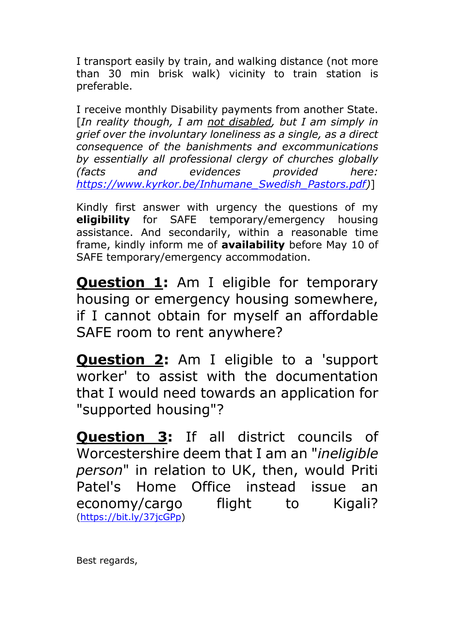I transport easily by train, and walking distance (not more than 30 min brisk walk) vicinity to train station is preferable.

I receive monthly Disability payments from another State. [*In reality though, I am not disabled, but I am simply in grief over the involuntary loneliness as a single, as a direct consequence of the banishments and excommunications by essentially all professional clergy of churches globally (facts and evidences provided here: [https://www.kyrkor.be/Inhumane\\_Swedish\\_Pastors.pdf\)](https://www.kyrkor.be/Inhumane_Swedish_Pastors.pdf)*]

Kindly first answer with urgency the questions of my **eligibility** for SAFE temporary/emergency housing assistance. And secondarily, within a reasonable time frame, kindly inform me of **availability** before May 10 of SAFE temporary/emergency accommodation.

**Question 1:** Am I eligible for temporary housing or emergency housing somewhere, if I cannot obtain for myself an affordable SAFE room to rent anywhere?

**Question 2:** Am I eligible to a 'support worker' to assist with the documentation that I would need towards an application for "supported housing"?

**Question 3:** If all district councils of Worcestershire deem that I am an "*ineligible person*" in relation to UK, then, would Priti Patel's Home Office instead issue an economy/cargo flight to Kigali? [\(https://bit.ly/37jcGPp\)](https://bit.ly/37jcGPp)

Best regards,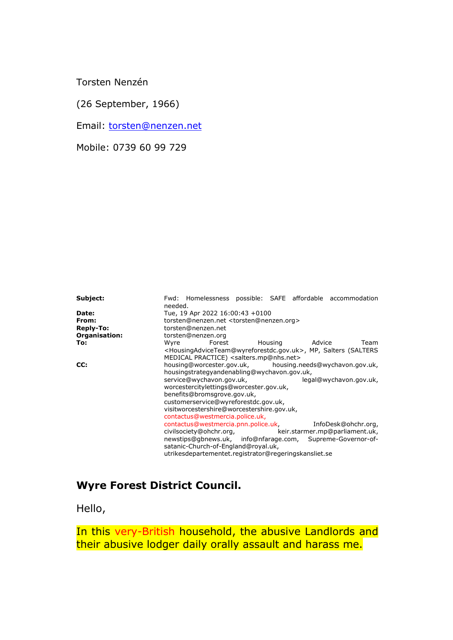Torsten Nenzén

(26 September, 1966)

Email: [torsten@nenzen.net](mailto:torsten@nenzen.net)

Mobile: 0739 60 99 729

**Subject:** Fwd: Homelessness possible: SAFE affordable accommodation needed. **Date:** Tue, 19 Apr 2022 16:00:43 +0100 **From: http://e**torsten@nenzen.net <torsten@nenzen.org><br>**Reply-To: torsten@nenzen.net Reply-To:** torsten@nenzen.net **Organisation:** torsten@nenzen.org **To: Wyre Forest Housing Advice Team** <HousingAdviceTeam@wyreforestdc.gov.uk>, MP, Salters (SALTERS MEDICAL PRACTICE) <salters.mp@nhs.net><br>housing@worcester.gov.uk, housing.r **CC:** housing@worcester.gov.uk, housing.needs@wychavon.gov.uk, housingstrategyandenabling@wychavon.gov.uk,<br>service@wychavon.gov.uk, legal@wychavon.gov.uk, service@wychavon.gov.uk, worcestercitylettings@worcester.gov.uk, benefits@bromsgrove.gov.uk, customerservice@wyreforestdc.gov.uk, visitworcestershire@worcestershire.gov.uk, contactus@westmercia.police.uk, contactus@westmercia.pnn.police.uk, InfoDesk@ohchr.org, keir.starmer.mp@parliament.uk, newstips@gbnews.uk, info@nfarage.com, Supreme-Governor-ofsatanic-Church-of-England@royal.uk, utrikesdepartementet.registrator@regeringskansliet.se

## **Wyre Forest District Council.**

Hello,

In this very-British household, the abusive Landlords and their abusive lodger daily orally assault and harass me.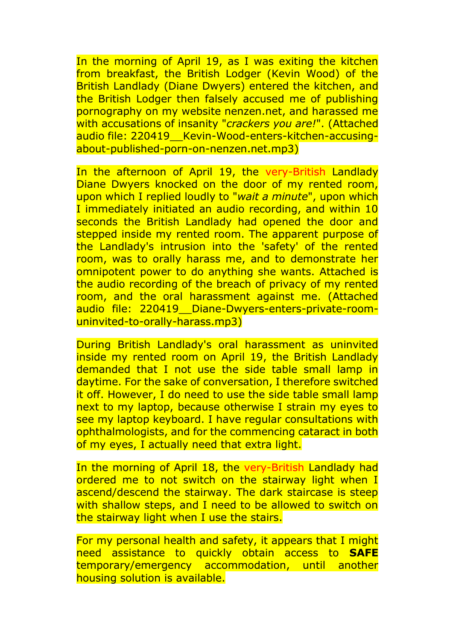In the morning of April 19, as I was exiting the kitchen from breakfast, the British Lodger (Kevin Wood) of the British Landlady (Diane Dwyers) entered the kitchen, and the British Lodger then falsely accused me of publishing pornography on my website nenzen.net, and harassed me with accusations of insanity "*crackers you are!*". (Attached audio file: 220419\_\_Kevin-Wood-enters-kitchen-accusingabout-published-porn-on-nenzen.net.mp3)

In the afternoon of April 19, the very-British Landlady Diane Dwyers knocked on the door of my rented room, upon which I replied loudly to "*wait a minute*", upon which I immediately initiated an audio recording, and within 10 seconds the British Landlady had opened the door and stepped inside my rented room. The apparent purpose of the Landlady's intrusion into the 'safety' of the rented room, was to orally harass me, and to demonstrate her omnipotent power to do anything she wants. Attached is the audio recording of the breach of privacy of my rented room, and the oral harassment against me. (Attached audio file: 220419\_\_Diane-Dwyers-enters-private-roomuninvited-to-orally-harass.mp3)

During British Landlady's oral harassment as uninvited inside my rented room on April 19, the British Landlady demanded that I not use the side table small lamp in daytime. For the sake of conversation, I therefore switched it off. However, I do need to use the side table small lamp next to my laptop, because otherwise I strain my eyes to see my laptop keyboard. I have regular consultations with ophthalmologists, and for the commencing cataract in both of my eyes, I actually need that extra light.

In the morning of April 18, the very-British Landlady had ordered me to not switch on the stairway light when I ascend/descend the stairway. The dark staircase is steep with shallow steps, and I need to be allowed to switch on the stairway light when I use the stairs.

For my personal health and safety, it appears that I might need assistance to quickly obtain access to **SAFE** temporary/emergency accommodation, until another housing solution is available.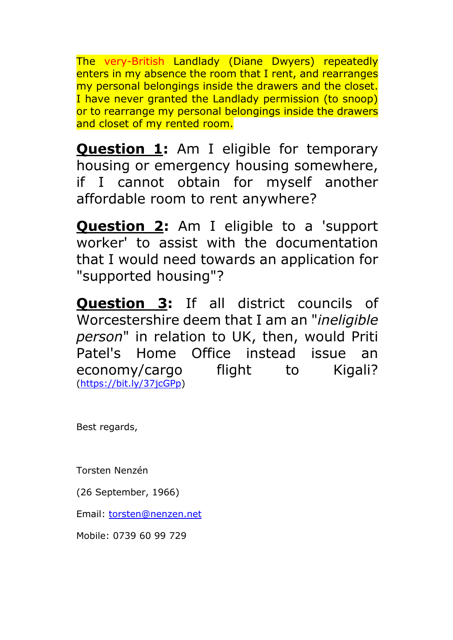The very-British Landlady (Diane Dwyers) repeatedly enters in my absence the room that I rent, and rearranges my personal belongings inside the drawers and the closet. I have never granted the Landlady permission (to snoop) or to rearrange my personal belongings inside the drawers and closet of my rented room.

**Question 1:** Am I eligible for temporary housing or emergency housing somewhere, if I cannot obtain for myself another affordable room to rent anywhere?

**Question 2:** Am I eligible to a 'support worker' to assist with the documentation that I would need towards an application for "supported housing"?

**Question 3:** If all district councils of Worcestershire deem that I am an "*ineligible person*" in relation to UK, then, would Priti Patel's Home Office instead issue an economy/cargo flight to Kigali? [\(https://bit.ly/37jcGPp\)](https://bit.ly/37jcGPp)

Best regards,

Torsten Nenzén

(26 September, 1966)

Email: [torsten@nenzen.net](mailto:torsten@nenzen.net)

Mobile: 0739 60 99 729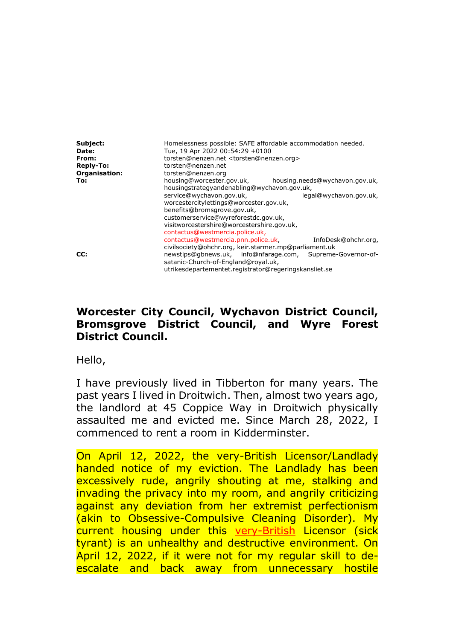| Subject:<br><b>Date:</b><br>From:<br>Reply-To:<br>Organisation: | Homelessness possible: SAFE affordable accommodation needed.<br>Tue, 19 Apr 2022 00:54:29 +0100<br>torsten@nenzen.net <torsten@nenzen.org><br/>torsten@nenzen.net<br/>torsten@nenzen.org</torsten@nenzen.org> |  |
|-----------------------------------------------------------------|---------------------------------------------------------------------------------------------------------------------------------------------------------------------------------------------------------------|--|
| To:                                                             | housing@worcester.gov.uk,<br>housing.needs@wychavon.gov.uk,<br>housingstrategyandenabling@wychavon.gov.uk,<br>service@wychavon.gov.uk,<br>legal@wychavon.gov.uk,<br>worcestercitylettings@worcester.gov.uk,   |  |
|                                                                 | benefits@bromsgrove.gov.uk,<br>customerservice@wyreforestdc.gov.uk,<br>visitworcestershire@worcestershire.gov.uk,<br>contactus@westmercia.police.uk,                                                          |  |
|                                                                 | contactus@westmercia.pnn.police.uk.<br>InfoDesk@ohchr.org,<br>civilsociety@ohchr.org, keir.starmer.mp@parliament.uk                                                                                           |  |
| CC:                                                             | newstips@qbnews.uk, info@nfarage.com,<br>Supreme-Governor-of-<br>satanic-Church-of-England@royal.uk,<br>utrikesdepartementet.registrator@regeringskansliet.se                                                 |  |

## **Worcester City Council, Wychavon District Council, Bromsgrove District Council, and Wyre Forest District Council.**

Hello,

I have previously lived in Tibberton for many years. The past years I lived in Droitwich. Then, almost two years ago, the landlord at 45 Coppice Way in Droitwich physically assaulted me and evicted me. Since March 28, 2022, I commenced to rent a room in Kidderminster.

On April 12, 2022, the very-British Licensor/Landlady handed notice of my eviction. The Landlady has been excessively rude, angrily shouting at me, stalking and invading the privacy into my room, and angrily criticizing against any deviation from her extremist perfectionism (akin to Obsessive-Compulsive Cleaning Disorder). My current housing under this very-British Licensor (sick tyrant) is an unhealthy and destructive environment. On April 12, 2022, if it were not for my regular skill to deescalate and back away from unnecessary hostile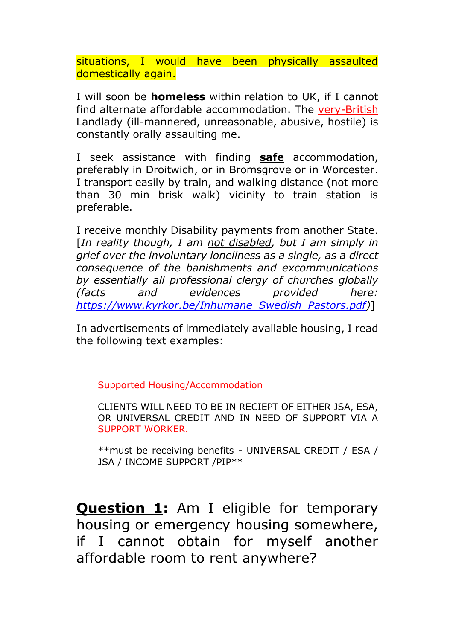situations, I would have been physically assaulted domestically again.

I will soon be **homeless** within relation to UK, if I cannot find alternate affordable accommodation. The very-British Landlady (ill-mannered, unreasonable, abusive, hostile) is constantly orally assaulting me.

I seek assistance with finding **safe** accommodation, preferably in Droitwich, or in Bromsgrove or in Worcester. I transport easily by train, and walking distance (not more than 30 min brisk walk) vicinity to train station is preferable.

I receive monthly Disability payments from another State. [*In reality though, I am not disabled, but I am simply in grief over the involuntary loneliness as a single, as a direct consequence of the banishments and excommunications by essentially all professional clergy of churches globally (facts and evidences provided here: [https://www.kyrkor.be/Inhumane\\_Swedish\\_Pastors.pdf\)](https://www.kyrkor.be/Inhumane_Swedish_Pastors.pdf)*]

In advertisements of immediately available housing, I read the following text examples:

Supported Housing/Accommodation

CLIENTS WILL NEED TO BE IN RECIEPT OF EITHER JSA, ESA, OR UNIVERSAL CREDIT AND IN NEED OF SUPPORT VIA A SUPPORT WORKER.

\*\*must be receiving benefits - UNIVERSAL CREDIT / ESA / JSA / INCOME SUPPORT /PIP\*\*

**Question 1:** Am I eligible for temporary housing or emergency housing somewhere, if I cannot obtain for myself another affordable room to rent anywhere?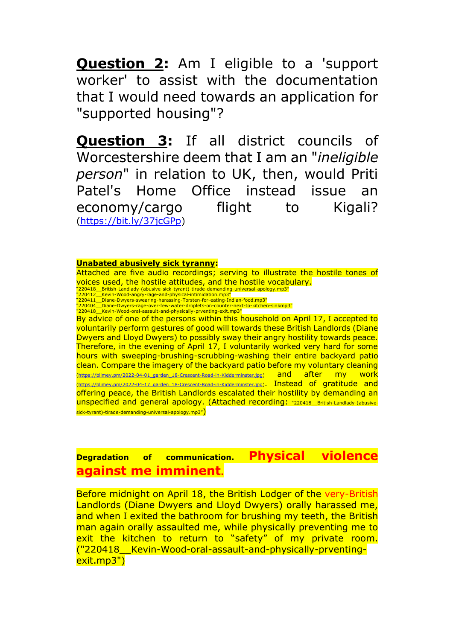**Question 2:** Am I eligible to a 'support worker' to assist with the documentation that I would need towards an application for "supported housing"?

**Question 3:** If all district councils of Worcestershire deem that I am an "*ineligible person*" in relation to UK, then, would Priti Patel's Home Office instead issue an economy/cargo flight to Kigali? [\(https://bit.ly/37jcGPp\)](https://bit.ly/37jcGPp)

#### **Unabated abusively sick tyranny:**

Attached are five audio recordings; serving to illustrate the hostile tones of voices used, the hostile attitudes, and the hostile vocabulary.

"220418\_\_British-Landlady-(abusive-sick-tyrant)-tirade-demanding-universal-apology.mp3" "220412\_\_Kevin-Wood-angry-rage-and-physical-intimidation.mp3"

 $^{\circ}$ 220411 $^{\circ}$ Diane-Dwyers-swearing-harassing-Torsten-for-eating-Indian-food.mp3"

"220404\_\_Diane-Dwyers-rage-over-few-water-droplets-on-counter-next-to-kitchen-sinkmp3" "220418\_\_Kevin-Wood-oral-assault-and-physically-prventing-exit.mp3"

By advice of one of the persons within this household on April 17, I accepted to voluntarily perform gestures of good will towards these British Landlords (Diane Dwyers and Lloyd Dwyers) to possibly sway their angry hostility towards peace. Therefore, in the evening of April 17, I voluntarily worked very hard for some hours with sweeping-brushing-scrubbing-washing their entire backyard patio clean. Compare the imagery of the backyard patio before my voluntary cleaning [\(https://blimey.pm/2022-04-01\\_garden\\_18-Crescent-Road-in-Kidderminster.jpg\)](https://blimey.pm/2022-04-01_garden_18-Crescent-Road-in-Kidderminster.jpg) and after my work [\(https://blimey.pm/2022-04-17\\_garden\\_18-Crescent-Road-in-Kidderminster.jpg\)](https://blimey.pm/2022-04-17_garden_18-Crescent-Road-in-Kidderminster.jpg). Instead of gratitude and offering peace, the British Landlords escalated their hostility by demanding an unspecified and general apology. (Attached recording: "220418\_\_British-Landlady-(abusivesick-tyrant)-tirade-demanding-universal-apology.mp3")

**Degradation of communication. Physical violence against me imminent.**

Before midnight on April 18, the British Lodger of the very-British Landlords (Diane Dwyers and Lloyd Dwyers) orally harassed me, and when I exited the bathroom for brushing my teeth, the British man again orally assaulted me, while physically preventing me to exit the kitchen to return to "safety" of my private room. ("220418\_\_Kevin-Wood-oral-assault-and-physically-prventingexit.mp3")